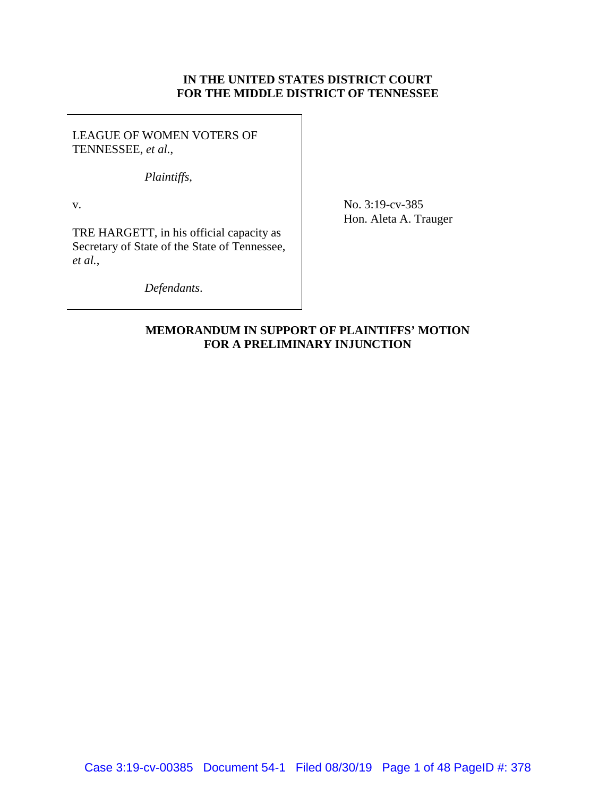# **IN THE UNITED STATES DISTRICT COURT FOR THE MIDDLE DISTRICT OF TENNESSEE**

LEAGUE OF WOMEN VOTERS OF TENNESSEE, *et al.*,

*Plaintiffs*,

v.

TRE HARGETT, in his official capacity as Secretary of State of the State of Tennessee, *et al.*,

No. 3:19-cv-385 Hon. Aleta A. Trauger

*Defendants*.

# **MEMORANDUM IN SUPPORT OF PLAINTIFFS' MOTION FOR A PRELIMINARY INJUNCTION**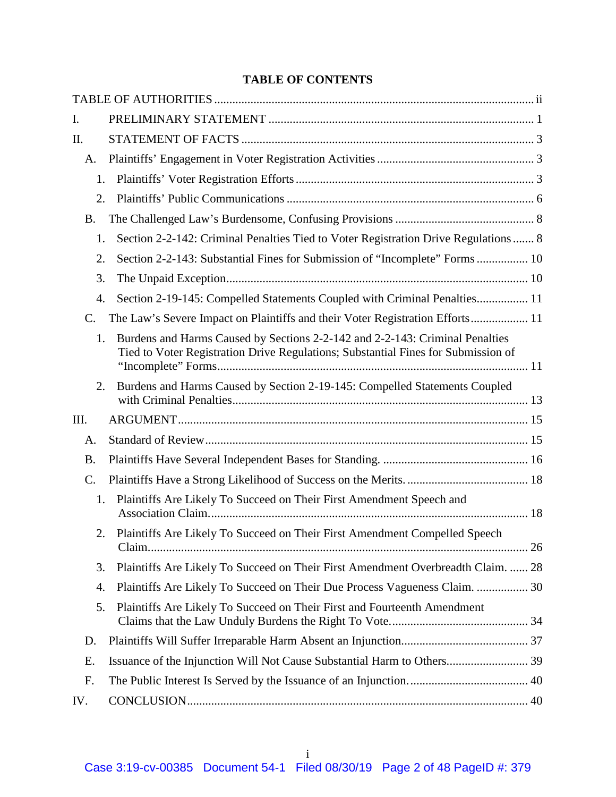# **TABLE OF CONTENTS**

| I.              |                                                                                                                                                                   |
|-----------------|-------------------------------------------------------------------------------------------------------------------------------------------------------------------|
| Π.              |                                                                                                                                                                   |
| A.              |                                                                                                                                                                   |
| 1.              |                                                                                                                                                                   |
| 2.              |                                                                                                                                                                   |
| <b>B.</b>       |                                                                                                                                                                   |
| 1.              | Section 2-2-142: Criminal Penalties Tied to Voter Registration Drive Regulations  8                                                                               |
| 2.              | Section 2-2-143: Substantial Fines for Submission of "Incomplete" Forms  10                                                                                       |
| 3.              |                                                                                                                                                                   |
| 4.              | Section 2-19-145: Compelled Statements Coupled with Criminal Penalties 11                                                                                         |
| C.              | The Law's Severe Impact on Plaintiffs and their Voter Registration Efforts 11                                                                                     |
| 1.              | Burdens and Harms Caused by Sections 2-2-142 and 2-2-143: Criminal Penalties<br>Tied to Voter Registration Drive Regulations; Substantial Fines for Submission of |
| 2.              | Burdens and Harms Caused by Section 2-19-145: Compelled Statements Coupled                                                                                        |
| III.            |                                                                                                                                                                   |
| A.              |                                                                                                                                                                   |
| <b>B.</b>       |                                                                                                                                                                   |
| $\mathcal{C}$ . |                                                                                                                                                                   |
| 1.              | Plaintiffs Are Likely To Succeed on Their First Amendment Speech and                                                                                              |
| 2.              | Plaintiffs Are Likely To Succeed on Their First Amendment Compelled Speech                                                                                        |
| 3.              | Plaintiffs Are Likely To Succeed on Their First Amendment Overbreadth Claim.  28                                                                                  |
| 4.              | Plaintiffs Are Likely To Succeed on Their Due Process Vagueness Claim.  30                                                                                        |
| 5.              | Plaintiffs Are Likely To Succeed on Their First and Fourteenth Amendment                                                                                          |
| D.              |                                                                                                                                                                   |
| Ε.              |                                                                                                                                                                   |
| F.              |                                                                                                                                                                   |
| IV.             |                                                                                                                                                                   |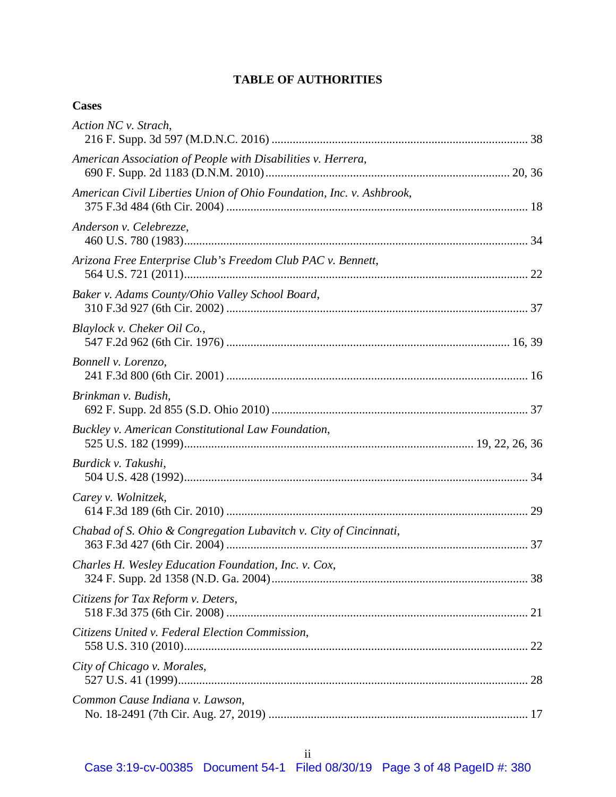# **TABLE OF AUTHORITIES**

# <span id="page-2-0"></span>**Cases**

| Action NC v. Strach,                                                 |  |
|----------------------------------------------------------------------|--|
| American Association of People with Disabilities v. Herrera,         |  |
| American Civil Liberties Union of Ohio Foundation, Inc. v. Ashbrook, |  |
| Anderson v. Celebrezze,                                              |  |
| Arizona Free Enterprise Club's Freedom Club PAC v. Bennett,          |  |
| Baker v. Adams County/Ohio Valley School Board,                      |  |
| Blaylock v. Cheker Oil Co.,                                          |  |
| Bonnell v. Lorenzo,                                                  |  |
| Brinkman v. Budish,                                                  |  |
| Buckley v. American Constitutional Law Foundation,                   |  |
| Burdick v. Takushi,                                                  |  |
| Carey v. Wolnitzek,                                                  |  |
| Chabad of S. Ohio & Congregation Lubavitch v. City of Cincinnati,    |  |
| Charles H. Wesley Education Foundation, Inc. v. Cox,                 |  |
| Citizens for Tax Reform v. Deters,                                   |  |
| Citizens United v. Federal Election Commission,                      |  |
| City of Chicago v. Morales,                                          |  |
| Common Cause Indiana v. Lawson,                                      |  |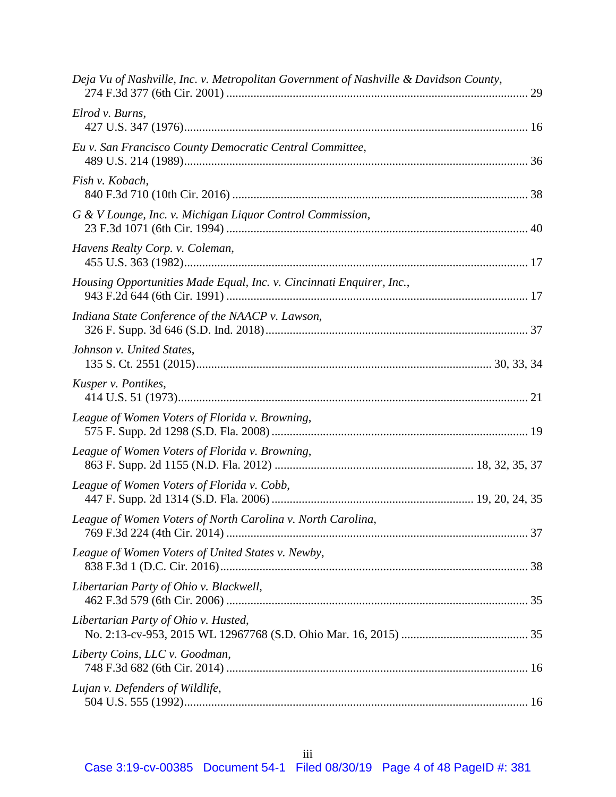| Deja Vu of Nashville, Inc. v. Metropolitan Government of Nashville & Davidson County, |  |
|---------------------------------------------------------------------------------------|--|
| Elrod v. Burns,                                                                       |  |
| Eu v. San Francisco County Democratic Central Committee,                              |  |
| Fish v. Kobach,                                                                       |  |
| G & V Lounge, Inc. v. Michigan Liquor Control Commission,                             |  |
| Havens Realty Corp. v. Coleman,                                                       |  |
| Housing Opportunities Made Equal, Inc. v. Cincinnati Enquirer, Inc.,                  |  |
| Indiana State Conference of the NAACP v. Lawson,                                      |  |
| Johnson v. United States,                                                             |  |
| Kusper v. Pontikes,                                                                   |  |
| League of Women Voters of Florida v. Browning,                                        |  |
| League of Women Voters of Florida v. Browning,                                        |  |
| League of Women Voters of Florida v. Cobb,                                            |  |
| League of Women Voters of North Carolina v. North Carolina,                           |  |
| League of Women Voters of United States v. Newby,                                     |  |
| Libertarian Party of Ohio v. Blackwell,                                               |  |
| Libertarian Party of Ohio v. Husted,                                                  |  |
| Liberty Coins, LLC v. Goodman,                                                        |  |
| Lujan v. Defenders of Wildlife,                                                       |  |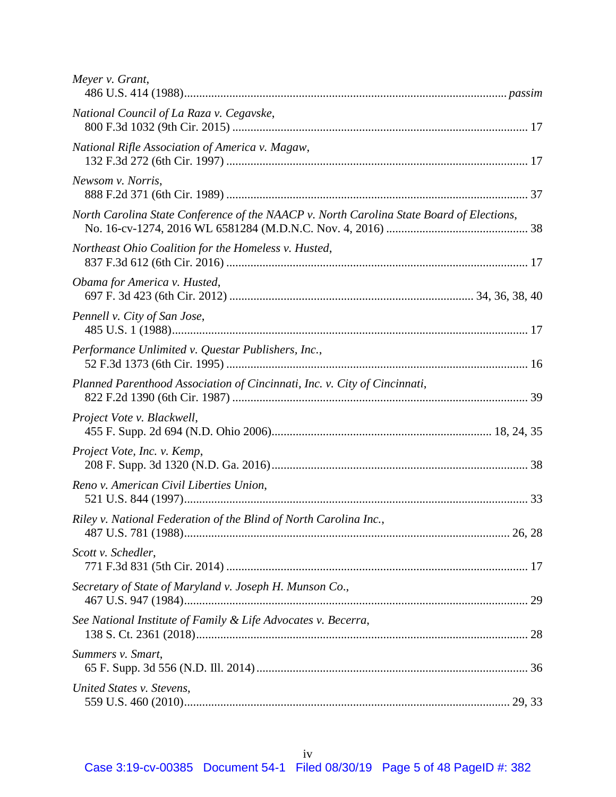| Meyer v. Grant,                                                                          |  |
|------------------------------------------------------------------------------------------|--|
| National Council of La Raza v. Cegavske,                                                 |  |
| National Rifle Association of America v. Magaw,                                          |  |
| Newsom v. Norris,                                                                        |  |
| North Carolina State Conference of the NAACP v. North Carolina State Board of Elections, |  |
| Northeast Ohio Coalition for the Homeless v. Husted,                                     |  |
| Obama for America v. Husted,                                                             |  |
| Pennell v. City of San Jose,                                                             |  |
| Performance Unlimited v. Questar Publishers, Inc.,                                       |  |
| Planned Parenthood Association of Cincinnati, Inc. v. City of Cincinnati,                |  |
| Project Vote v. Blackwell,                                                               |  |
| Project Vote, Inc. v. Kemp,                                                              |  |
| Reno v. American Civil Liberties Union,                                                  |  |
| Riley v. National Federation of the Blind of North Carolina Inc.,                        |  |
| Scott v. Schedler,                                                                       |  |
| Secretary of State of Maryland v. Joseph H. Munson Co.,                                  |  |
| See National Institute of Family & Life Advocates v. Becerra,                            |  |
| Summers v. Smart,                                                                        |  |
| United States v. Stevens,                                                                |  |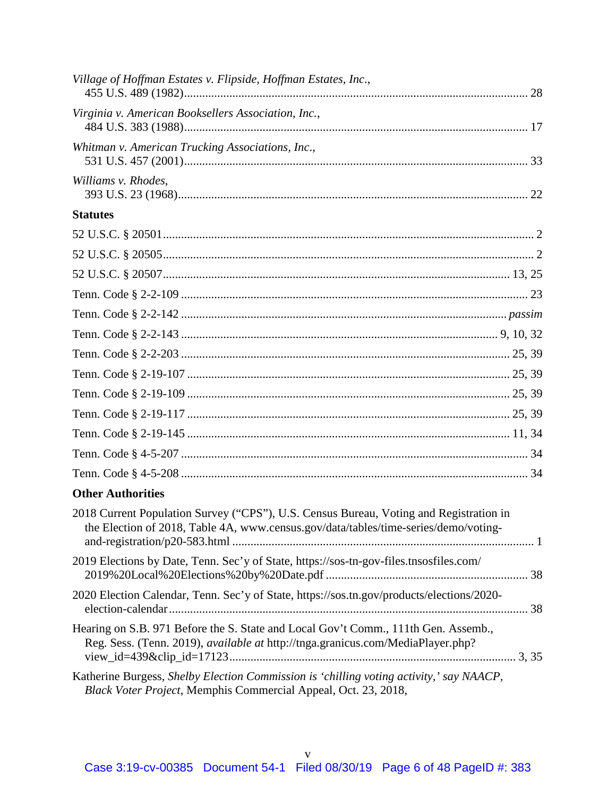| Village of Hoffman Estates v. Flipside, Hoffman Estates, Inc.,                                                                                                                |
|-------------------------------------------------------------------------------------------------------------------------------------------------------------------------------|
| Virginia v. American Booksellers Association, Inc.,                                                                                                                           |
| Whitman v. American Trucking Associations, Inc.,                                                                                                                              |
| Williams v. Rhodes,                                                                                                                                                           |
| <b>Statutes</b>                                                                                                                                                               |
|                                                                                                                                                                               |
|                                                                                                                                                                               |
|                                                                                                                                                                               |
|                                                                                                                                                                               |
|                                                                                                                                                                               |
|                                                                                                                                                                               |
|                                                                                                                                                                               |
|                                                                                                                                                                               |
|                                                                                                                                                                               |
|                                                                                                                                                                               |
|                                                                                                                                                                               |
|                                                                                                                                                                               |
|                                                                                                                                                                               |
| <b>Other Authorities</b>                                                                                                                                                      |
| 2018 Current Population Survey ("CPS"), U.S. Census Bureau, Voting and Registration in<br>the Election of 2018, Table 4A, www.census.gov/data/tables/time-series/demo/voting- |
| 2019 Elections by Date, Tenn. Sec'y of State, https://sos-tn-gov-files.tnsosfiles.com/                                                                                        |
| 2020 Election Calendar, Tenn. Sec'y of State, https://sos.tn.gov/products/elections/2020-                                                                                     |
| Hearing on S.B. 971 Before the S. State and Local Gov't Comm., 111th Gen. Assemb.,<br>Reg. Sess. (Tenn. 2019), available at http://tnga.granicus.com/MediaPlayer.php?         |
| Katherine Burgess, Shelby Election Commission is 'chilling voting activity,' say NAACP,<br>Black Voter Project, Memphis Commercial Appeal, Oct. 23, 2018,                     |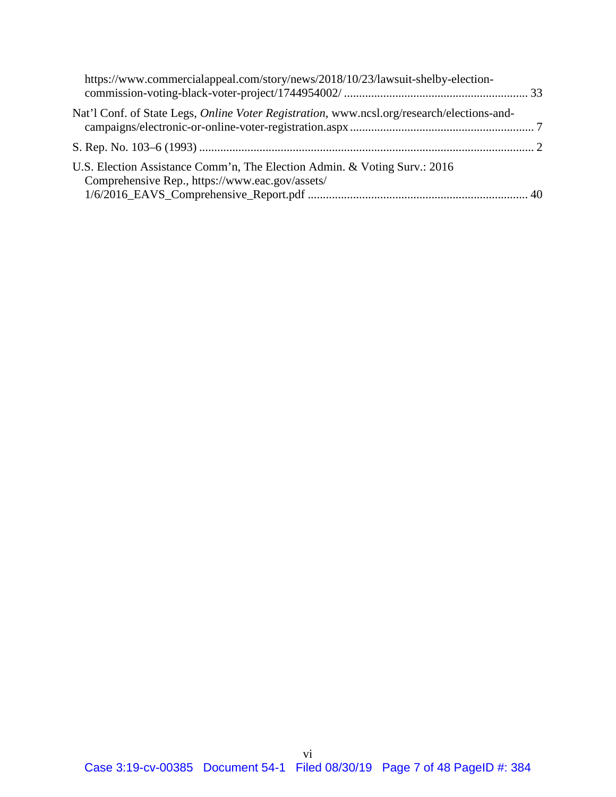| https://www.commercialappeal.com/story/news/2018/10/23/lawsuit-shelby-election-                                              |  |
|------------------------------------------------------------------------------------------------------------------------------|--|
| Nat'l Conf. of State Legs, <i>Online Voter Registration</i> , www.ncsl.org/research/elections-and-                           |  |
|                                                                                                                              |  |
| U.S. Election Assistance Comm'n, The Election Admin. & Voting Surv.: 2016<br>Comprehensive Rep., https://www.eac.gov/assets/ |  |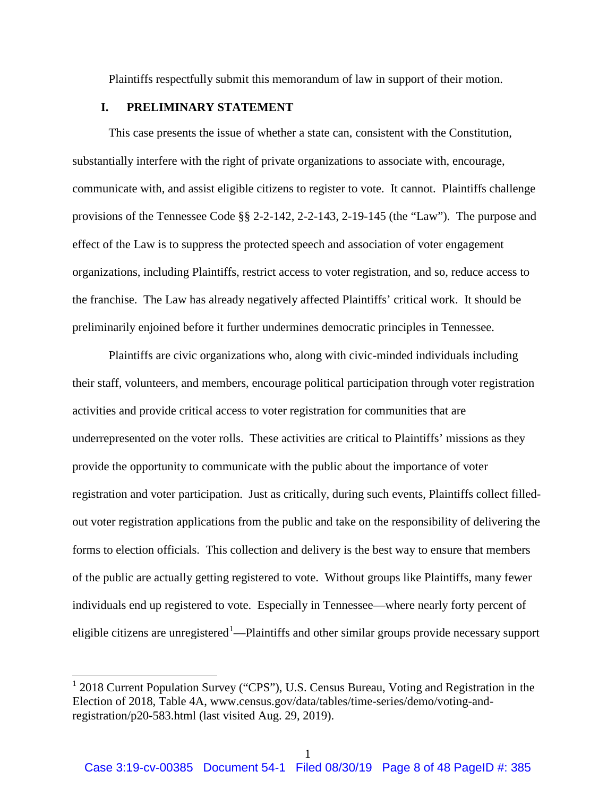Plaintiffs respectfully submit this memorandum of law in support of their motion.

### <span id="page-7-0"></span>**I. PRELIMINARY STATEMENT**

This case presents the issue of whether a state can, consistent with the Constitution, substantially interfere with the right of private organizations to associate with, encourage, communicate with, and assist eligible citizens to register to vote. It cannot. Plaintiffs challenge provisions of the Tennessee Code §§ 2-2-142, 2-2-143, 2-19-145 (the "Law"). The purpose and effect of the Law is to suppress the protected speech and association of voter engagement organizations, including Plaintiffs, restrict access to voter registration, and so, reduce access to the franchise. The Law has already negatively affected Plaintiffs' critical work. It should be preliminarily enjoined before it further undermines democratic principles in Tennessee.

Plaintiffs are civic organizations who, along with civic-minded individuals including their staff, volunteers, and members, encourage political participation through voter registration activities and provide critical access to voter registration for communities that are underrepresented on the voter rolls. These activities are critical to Plaintiffs' missions as they provide the opportunity to communicate with the public about the importance of voter registration and voter participation. Just as critically, during such events, Plaintiffs collect filledout voter registration applications from the public and take on the responsibility of delivering the forms to election officials. This collection and delivery is the best way to ensure that members of the public are actually getting registered to vote. Without groups like Plaintiffs, many fewer individuals end up registered to vote. Especially in Tennessee—where nearly forty percent of eligible citizens are unregistered<sup>[1](#page-7-1)</sup>—Plaintiffs and other similar groups provide necessary support

<span id="page-7-1"></span> $1$  2018 Current Population Survey ("CPS"), U.S. Census Bureau, Voting and Registration in the Election of 2018, Table 4A, www.census.gov/data/tables/time-series/demo/voting-andregistration/p20-583.html (last visited Aug. 29, 2019).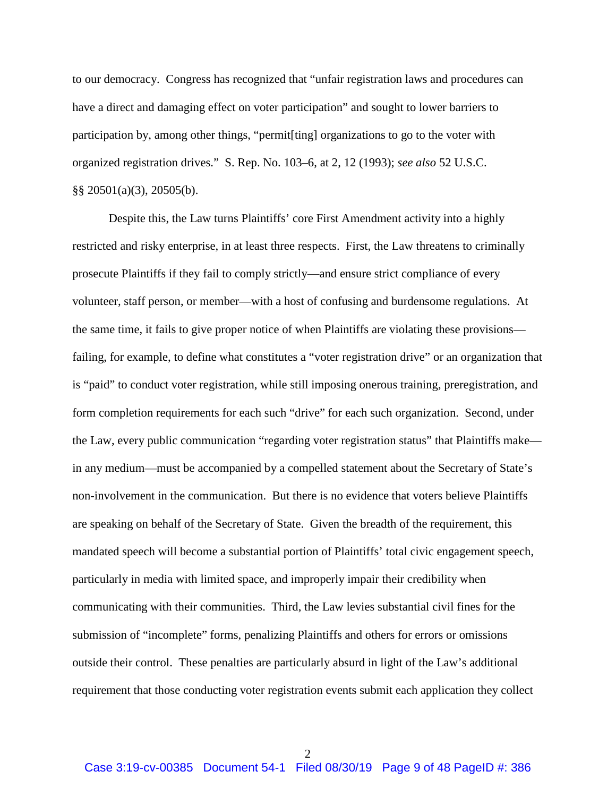to our democracy. Congress has recognized that "unfair registration laws and procedures can have a direct and damaging effect on voter participation" and sought to lower barriers to participation by, among other things, "permit[ting] organizations to go to the voter with organized registration drives." S. Rep. No. 103–6, at 2, 12 (1993); *see also* 52 U.S.C. §§ 20501(a)(3), 20505(b).

Despite this, the Law turns Plaintiffs' core First Amendment activity into a highly restricted and risky enterprise, in at least three respects. First, the Law threatens to criminally prosecute Plaintiffs if they fail to comply strictly—and ensure strict compliance of every volunteer, staff person, or member—with a host of confusing and burdensome regulations. At the same time, it fails to give proper notice of when Plaintiffs are violating these provisions failing, for example, to define what constitutes a "voter registration drive" or an organization that is "paid" to conduct voter registration, while still imposing onerous training, preregistration, and form completion requirements for each such "drive" for each such organization. Second, under the Law, every public communication "regarding voter registration status" that Plaintiffs make in any medium—must be accompanied by a compelled statement about the Secretary of State's non-involvement in the communication. But there is no evidence that voters believe Plaintiffs are speaking on behalf of the Secretary of State. Given the breadth of the requirement, this mandated speech will become a substantial portion of Plaintiffs' total civic engagement speech, particularly in media with limited space, and improperly impair their credibility when communicating with their communities. Third, the Law levies substantial civil fines for the submission of "incomplete" forms, penalizing Plaintiffs and others for errors or omissions outside their control. These penalties are particularly absurd in light of the Law's additional requirement that those conducting voter registration events submit each application they collect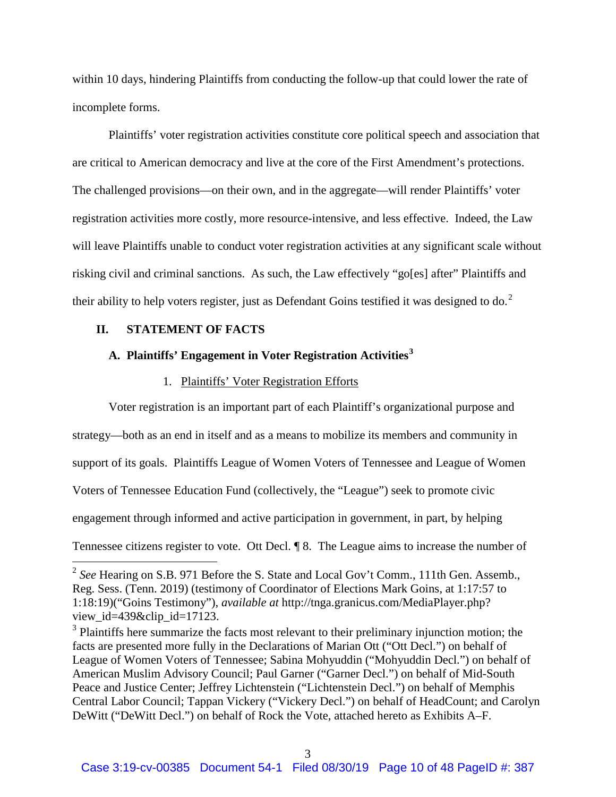within 10 days, hindering Plaintiffs from conducting the follow-up that could lower the rate of incomplete forms.

Plaintiffs' voter registration activities constitute core political speech and association that are critical to American democracy and live at the core of the First Amendment's protections. The challenged provisions—on their own, and in the aggregate—will render Plaintiffs' voter registration activities more costly, more resource-intensive, and less effective. Indeed, the Law will leave Plaintiffs unable to conduct voter registration activities at any significant scale without risking civil and criminal sanctions. As such, the Law effectively "go[es] after" Plaintiffs and their ability to help voters register, just as Defendant Goins testified it was designed to do.<sup>[2](#page-9-3)</sup>

#### <span id="page-9-1"></span><span id="page-9-0"></span>**II. STATEMENT OF FACTS**

# **A. Plaintiffs' Engagement in Voter Registration Activities[3](#page-10-0)**

#### 1. Plaintiffs' Voter Registration Efforts

<span id="page-9-2"></span>Voter registration is an important part of each Plaintiff's organizational purpose and strategy—both as an end in itself and as a means to mobilize its members and community in support of its goals. Plaintiffs League of Women Voters of Tennessee and League of Women Voters of Tennessee Education Fund (collectively, the "League") seek to promote civic engagement through informed and active participation in government, in part, by helping Tennessee citizens register to vote. Ott Decl. ¶ 8. The League aims to increase the number of

 <sup>2</sup> *See* Hearing on S.B. 971 Before the S. State and Local Gov't Comm., 111th Gen. Assemb., Reg. Sess. (Tenn. 2019) (testimony of Coordinator of Elections Mark Goins, at 1:17:57 to 1:18:19)("Goins Testimony"), *available at* http://tnga.granicus.com/MediaPlayer.php? view  $id=439\&$ clip  $id=17123$ .

<span id="page-9-3"></span> $3$  Plaintiffs here summarize the facts most relevant to their preliminary injunction motion; the facts are presented more fully in the Declarations of Marian Ott ("Ott Decl.") on behalf of League of Women Voters of Tennessee; Sabina Mohyuddin ("Mohyuddin Decl.") on behalf of American Muslim Advisory Council; Paul Garner ("Garner Decl.") on behalf of Mid-South Peace and Justice Center; Jeffrey Lichtenstein ("Lichtenstein Decl.") on behalf of Memphis Central Labor Council; Tappan Vickery ("Vickery Decl.") on behalf of HeadCount; and Carolyn DeWitt ("DeWitt Decl.") on behalf of Rock the Vote, attached hereto as Exhibits A–F.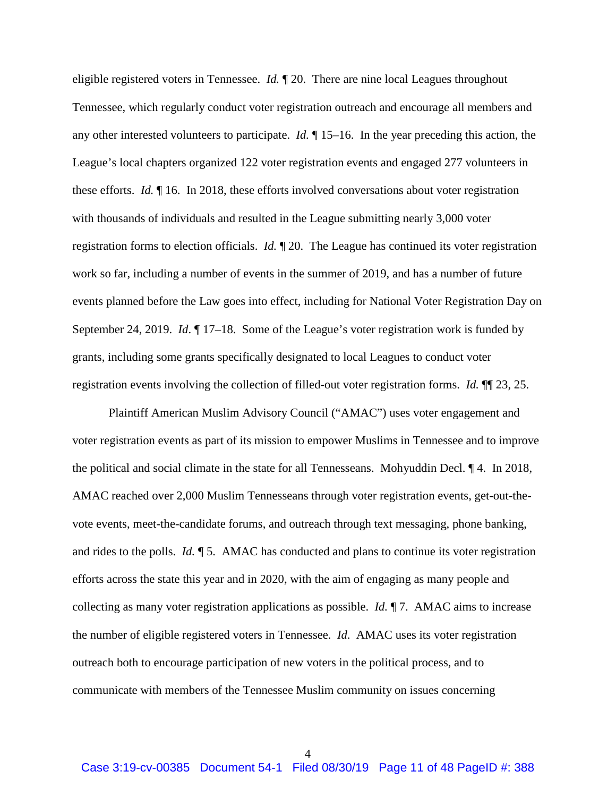eligible registered voters in Tennessee. *Id.* ¶ 20. There are nine local Leagues throughout Tennessee, which regularly conduct voter registration outreach and encourage all members and any other interested volunteers to participate. *Id.* ¶ 15–16. In the year preceding this action, the League's local chapters organized 122 voter registration events and engaged 277 volunteers in these efforts. *Id.* ¶ 16. In 2018, these efforts involved conversations about voter registration with thousands of individuals and resulted in the League submitting nearly 3,000 voter registration forms to election officials. *Id.* ¶ 20. The League has continued its voter registration work so far, including a number of events in the summer of 2019, and has a number of future events planned before the Law goes into effect, including for National Voter Registration Day on September 24, 2019. *Id*. ¶ 17–18. Some of the League's voter registration work is funded by grants, including some grants specifically designated to local Leagues to conduct voter registration events involving the collection of filled-out voter registration forms. *Id.* ¶¶ 23, 25.

<span id="page-10-0"></span>Plaintiff American Muslim Advisory Council ("AMAC") uses voter engagement and voter registration events as part of its mission to empower Muslims in Tennessee and to improve the political and social climate in the state for all Tennesseans. Mohyuddin Decl. ¶ 4. In 2018, AMAC reached over 2,000 Muslim Tennesseans through voter registration events, get-out-thevote events, meet-the-candidate forums, and outreach through text messaging, phone banking, and rides to the polls. *Id.* ¶ 5. AMAC has conducted and plans to continue its voter registration efforts across the state this year and in 2020, with the aim of engaging as many people and collecting as many voter registration applications as possible. *Id.* ¶ 7. AMAC aims to increase the number of eligible registered voters in Tennessee. *Id*. AMAC uses its voter registration outreach both to encourage participation of new voters in the political process, and to communicate with members of the Tennessee Muslim community on issues concerning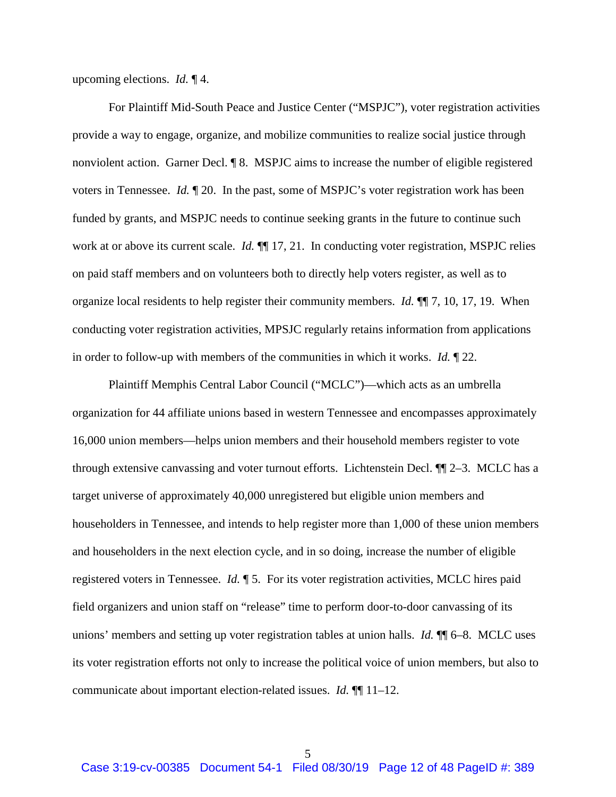upcoming elections. *Id.* ¶ 4.

For Plaintiff Mid-South Peace and Justice Center ("MSPJC"), voter registration activities provide a way to engage, organize, and mobilize communities to realize social justice through nonviolent action. Garner Decl. ¶ 8. MSPJC aims to increase the number of eligible registered voters in Tennessee. *Id.* ¶ 20. In the past, some of MSPJC's voter registration work has been funded by grants, and MSPJC needs to continue seeking grants in the future to continue such work at or above its current scale. *Id.*  $\P$  17, 21. In conducting voter registration, MSPJC relies on paid staff members and on volunteers both to directly help voters register, as well as to organize local residents to help register their community members. *Id.* ¶¶ 7, 10, 17, 19. When conducting voter registration activities, MPSJC regularly retains information from applications in order to follow-up with members of the communities in which it works. *Id.* ¶ 22.

Plaintiff Memphis Central Labor Council ("MCLC")—which acts as an umbrella organization for 44 affiliate unions based in western Tennessee and encompasses approximately 16,000 union members—helps union members and their household members register to vote through extensive canvassing and voter turnout efforts. Lichtenstein Decl. ¶¶ 2–3. MCLC has a target universe of approximately 40,000 unregistered but eligible union members and householders in Tennessee, and intends to help register more than 1,000 of these union members and householders in the next election cycle, and in so doing, increase the number of eligible registered voters in Tennessee. *Id.* ¶ 5. For its voter registration activities, MCLC hires paid field organizers and union staff on "release" time to perform door-to-door canvassing of its unions' members and setting up voter registration tables at union halls. *Id.* ¶¶ 6–8. MCLC uses its voter registration efforts not only to increase the political voice of union members, but also to communicate about important election-related issues. *Id.* ¶¶ 11–12.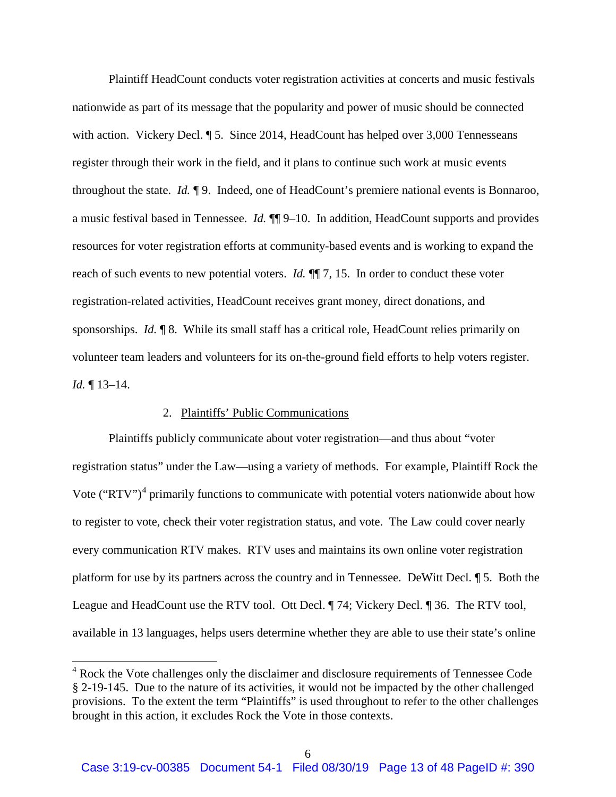Plaintiff HeadCount conducts voter registration activities at concerts and music festivals nationwide as part of its message that the popularity and power of music should be connected with action. Vickery Decl.  $\sqrt{5}$ . Since 2014, HeadCount has helped over 3,000 Tennesseans register through their work in the field, and it plans to continue such work at music events throughout the state. *Id.* ¶ 9. Indeed, one of HeadCount's premiere national events is Bonnaroo, a music festival based in Tennessee. *Id.* ¶¶ 9–10. In addition, HeadCount supports and provides resources for voter registration efforts at community-based events and is working to expand the reach of such events to new potential voters. *Id.* ¶¶ 7, 15. In order to conduct these voter registration-related activities, HeadCount receives grant money, direct donations, and sponsorships. *Id.* ¶ 8. While its small staff has a critical role, HeadCount relies primarily on volunteer team leaders and volunteers for its on-the-ground field efforts to help voters register. *Id.* ¶ 13–14.

#### 2. Plaintiffs' Public Communications

<span id="page-12-0"></span>Plaintiffs publicly communicate about voter registration—and thus about "voter registration status" under the Law—using a variety of methods. For example, Plaintiff Rock the Vote ("RTV")<sup>[4](#page-13-0)</sup> primarily functions to communicate with potential voters nationwide about how to register to vote, check their voter registration status, and vote. The Law could cover nearly every communication RTV makes. RTV uses and maintains its own online voter registration platform for use by its partners across the country and in Tennessee. DeWitt Decl. ¶ 5. Both the League and HeadCount use the RTV tool. Ott Decl. ¶ 74; Vickery Decl. ¶ 36. The RTV tool, available in 13 languages, helps users determine whether they are able to use their state's online

 $4 \text{ Rock}$  the Vote challenges only the disclaimer and disclosure requirements of Tennessee Code § 2-19-145. Due to the nature of its activities, it would not be impacted by the other challenged provisions. To the extent the term "Plaintiffs" is used throughout to refer to the other challenges brought in this action, it excludes Rock the Vote in those contexts.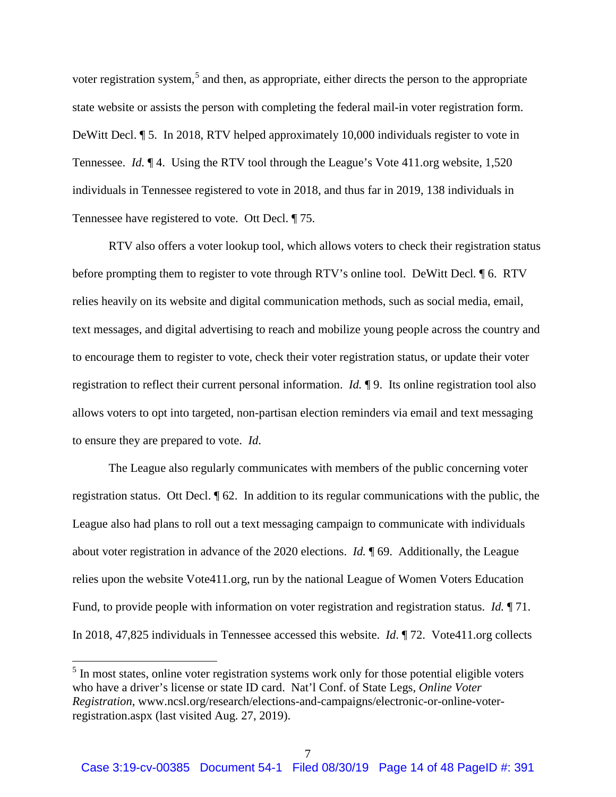voter registration system,<sup>[5](#page-13-1)</sup> and then, as appropriate, either directs the person to the appropriate state website or assists the person with completing the federal mail-in voter registration form. DeWitt Decl. ¶ 5. In 2018, RTV helped approximately 10,000 individuals register to vote in Tennessee. *Id.* ¶ 4. Using the RTV tool through the League's Vote 411.org website, 1,520 individuals in Tennessee registered to vote in 2018, and thus far in 2019, 138 individuals in Tennessee have registered to vote. Ott Decl. ¶ 75.

RTV also offers a voter lookup tool, which allows voters to check their registration status before prompting them to register to vote through RTV's online tool. DeWitt Decl*.* ¶ 6. RTV relies heavily on its website and digital communication methods, such as social media, email, text messages, and digital advertising to reach and mobilize young people across the country and to encourage them to register to vote, check their voter registration status, or update their voter registration to reflect their current personal information. *Id.* ¶ 9. Its online registration tool also allows voters to opt into targeted, non-partisan election reminders via email and text messaging to ensure they are prepared to vote. *Id*.

The League also regularly communicates with members of the public concerning voter registration status. Ott Decl. ¶ 62. In addition to its regular communications with the public, the League also had plans to roll out a text messaging campaign to communicate with individuals about voter registration in advance of the 2020 elections. *Id.* ¶ 69. Additionally, the League relies upon the website Vote411.org, run by the national League of Women Voters Education Fund, to provide people with information on voter registration and registration status. *Id.* ¶ 71. In 2018, 47,825 individuals in Tennessee accessed this website. *Id*. ¶ 72. Vote411.org collects

<span id="page-13-1"></span><span id="page-13-0"></span> $<sup>5</sup>$  In most states, online voter registration systems work only for those potential eligible voters</sup> who have a driver's license or state ID card. Nat'l Conf. of State Legs, *Online Voter Registration*, www.ncsl.org/research/elections-and-campaigns/electronic-or-online-voterregistration.aspx (last visited Aug. 27, 2019).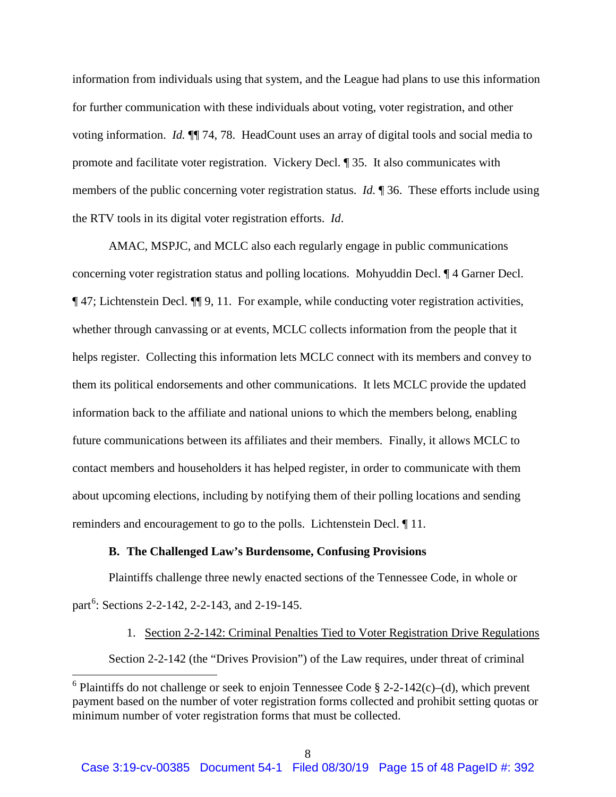information from individuals using that system, and the League had plans to use this information for further communication with these individuals about voting, voter registration, and other voting information. *Id.* ¶¶ 74, 78. HeadCount uses an array of digital tools and social media to promote and facilitate voter registration. Vickery Decl. ¶ 35. It also communicates with members of the public concerning voter registration status. *Id.* ¶ 36. These efforts include using the RTV tools in its digital voter registration efforts. *Id*.

AMAC, MSPJC, and MCLC also each regularly engage in public communications concerning voter registration status and polling locations. Mohyuddin Decl. ¶ 4 Garner Decl. ¶ 47; Lichtenstein Decl. ¶¶ 9, 11. For example, while conducting voter registration activities, whether through canvassing or at events, MCLC collects information from the people that it helps register. Collecting this information lets MCLC connect with its members and convey to them its political endorsements and other communications. It lets MCLC provide the updated information back to the affiliate and national unions to which the members belong, enabling future communications between its affiliates and their members. Finally, it allows MCLC to contact members and householders it has helped register, in order to communicate with them about upcoming elections, including by notifying them of their polling locations and sending reminders and encouragement to go to the polls. Lichtenstein Decl. ¶ 11.

#### **B. The Challenged Law's Burdensome, Confusing Provisions**

<span id="page-14-0"></span>Plaintiffs challenge three newly enacted sections of the Tennessee Code, in whole or part<sup>[6](#page-15-0)</sup>: Sections 2-2-142, 2-2-143, and 2-19-145.

1. Section 2-2-142: Criminal Penalties Tied to Voter Registration Drive Regulations

<span id="page-14-1"></span>Section 2-2-142 (the "Drives Provision") of the Law requires, under threat of criminal

<sup>&</sup>lt;sup>6</sup> Plaintiffs do not challenge or seek to enjoin Tennessee Code § 2-2-142(c)–(d), which prevent payment based on the number of voter registration forms collected and prohibit setting quotas or minimum number of voter registration forms that must be collected.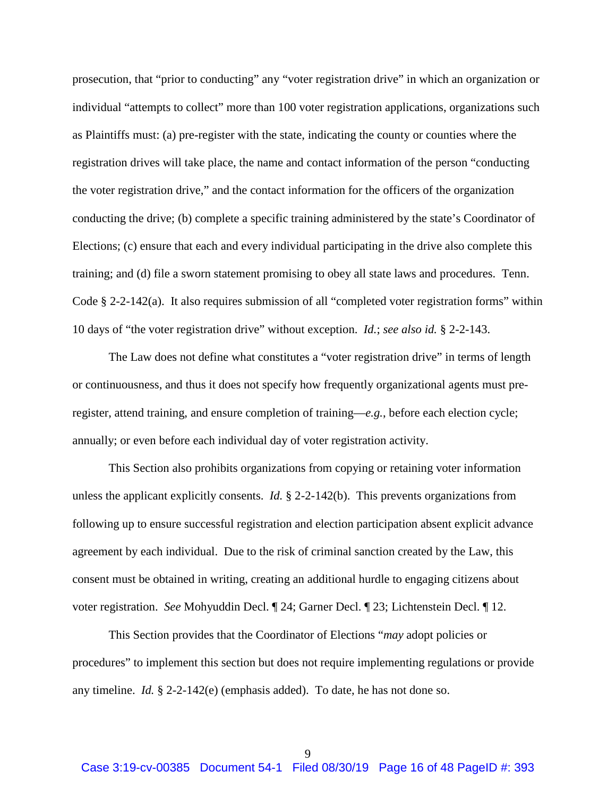prosecution, that "prior to conducting" any "voter registration drive" in which an organization or individual "attempts to collect" more than 100 voter registration applications, organizations such as Plaintiffs must: (a) pre-register with the state, indicating the county or counties where the registration drives will take place, the name and contact information of the person "conducting the voter registration drive," and the contact information for the officers of the organization conducting the drive; (b) complete a specific training administered by the state's Coordinator of Elections; (c) ensure that each and every individual participating in the drive also complete this training; and (d) file a sworn statement promising to obey all state laws and procedures. Tenn. Code § 2-2-142(a). It also requires submission of all "completed voter registration forms" within 10 days of "the voter registration drive" without exception. *Id.*; *see also id.* § 2-2-143.

The Law does not define what constitutes a "voter registration drive" in terms of length or continuousness, and thus it does not specify how frequently organizational agents must preregister, attend training, and ensure completion of training—*e.g.*, before each election cycle; annually; or even before each individual day of voter registration activity.

This Section also prohibits organizations from copying or retaining voter information unless the applicant explicitly consents. *Id.* § 2-2-142(b). This prevents organizations from following up to ensure successful registration and election participation absent explicit advance agreement by each individual. Due to the risk of criminal sanction created by the Law, this consent must be obtained in writing, creating an additional hurdle to engaging citizens about voter registration. *See* Mohyuddin Decl. ¶ 24; Garner Decl. ¶ 23; Lichtenstein Decl. ¶ 12.

<span id="page-15-0"></span>This Section provides that the Coordinator of Elections "*may* adopt policies or procedures" to implement this section but does not require implementing regulations or provide any timeline. *Id.* § 2-2-142(e) (emphasis added). To date, he has not done so.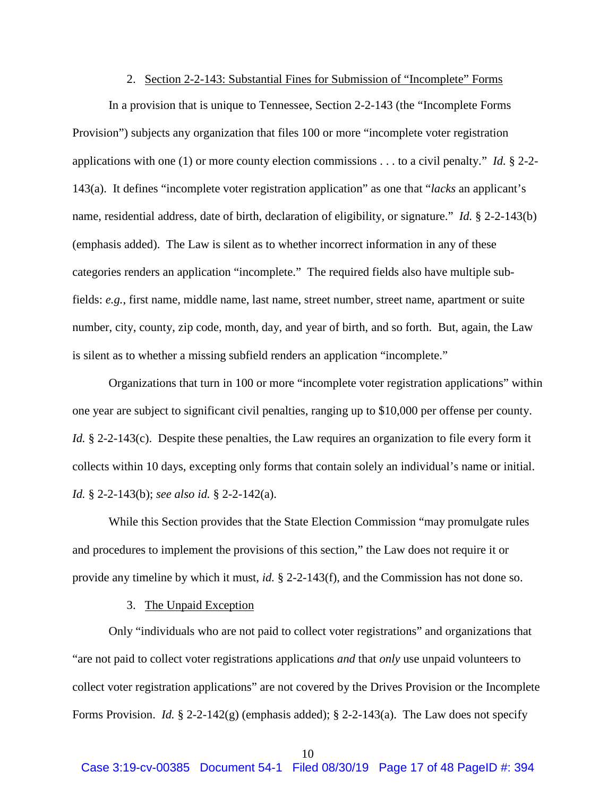#### 2. Section 2-2-143: Substantial Fines for Submission of "Incomplete" Forms

<span id="page-16-0"></span>In a provision that is unique to Tennessee, Section 2-2-143 (the "Incomplete Forms Provision") subjects any organization that files 100 or more "incomplete voter registration applications with one (1) or more county election commissions . . . to a civil penalty." *Id.* § 2-2- 143(a). It defines "incomplete voter registration application" as one that "*lacks* an applicant's name, residential address, date of birth, declaration of eligibility, or signature." *Id.* § 2-2-143(b) (emphasis added). The Law is silent as to whether incorrect information in any of these categories renders an application "incomplete." The required fields also have multiple subfields: *e.g.*, first name, middle name, last name, street number, street name, apartment or suite number, city, county, zip code, month, day, and year of birth, and so forth. But, again, the Law is silent as to whether a missing subfield renders an application "incomplete."

Organizations that turn in 100 or more "incomplete voter registration applications" within one year are subject to significant civil penalties, ranging up to \$10,000 per offense per county. *Id.* § 2-2-143(c). Despite these penalties, the Law requires an organization to file every form it collects within 10 days, excepting only forms that contain solely an individual's name or initial. *Id.* § 2-2-143(b); *see also id.* § 2-2-142(a).

While this Section provides that the State Election Commission "may promulgate rules and procedures to implement the provisions of this section," the Law does not require it or provide any timeline by which it must, *id.* § 2-2-143(f), and the Commission has not done so.

### 3. The Unpaid Exception

<span id="page-16-1"></span>Only "individuals who are not paid to collect voter registrations" and organizations that "are not paid to collect voter registrations applications *and* that *only* use unpaid volunteers to collect voter registration applications" are not covered by the Drives Provision or the Incomplete Forms Provision. *Id.* § 2-2-142(g) (emphasis added); § 2-2-143(a). The Law does not specify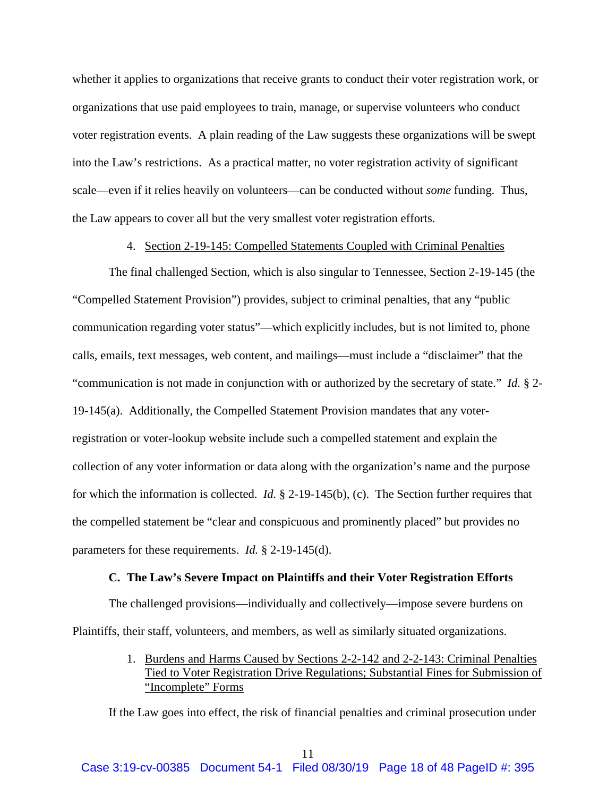whether it applies to organizations that receive grants to conduct their voter registration work, or organizations that use paid employees to train, manage, or supervise volunteers who conduct voter registration events. A plain reading of the Law suggests these organizations will be swept into the Law's restrictions. As a practical matter, no voter registration activity of significant scale—even if it relies heavily on volunteers—can be conducted without *some* funding. Thus, the Law appears to cover all but the very smallest voter registration efforts.

4. Section 2-19-145: Compelled Statements Coupled with Criminal Penalties

<span id="page-17-0"></span>The final challenged Section, which is also singular to Tennessee, Section 2-19-145 (the "Compelled Statement Provision") provides, subject to criminal penalties, that any "public communication regarding voter status"—which explicitly includes, but is not limited to, phone calls, emails, text messages, web content, and mailings—must include a "disclaimer" that the "communication is not made in conjunction with or authorized by the secretary of state." *Id.* § 2- 19-145(a). Additionally, the Compelled Statement Provision mandates that any voterregistration or voter-lookup website include such a compelled statement and explain the collection of any voter information or data along with the organization's name and the purpose for which the information is collected. *Id.* § 2-19-145(b), (c). The Section further requires that the compelled statement be "clear and conspicuous and prominently placed" but provides no parameters for these requirements. *Id.* § 2-19-145(d).

#### **C. The Law's Severe Impact on Plaintiffs and their Voter Registration Efforts**

<span id="page-17-2"></span><span id="page-17-1"></span>The challenged provisions—individually and collectively—impose severe burdens on Plaintiffs, their staff, volunteers, and members, as well as similarly situated organizations.

> 1. Burdens and Harms Caused by Sections 2-2-142 and 2-2-143: Criminal Penalties Tied to Voter Registration Drive Regulations; Substantial Fines for Submission of "Incomplete" Forms

If the Law goes into effect, the risk of financial penalties and criminal prosecution under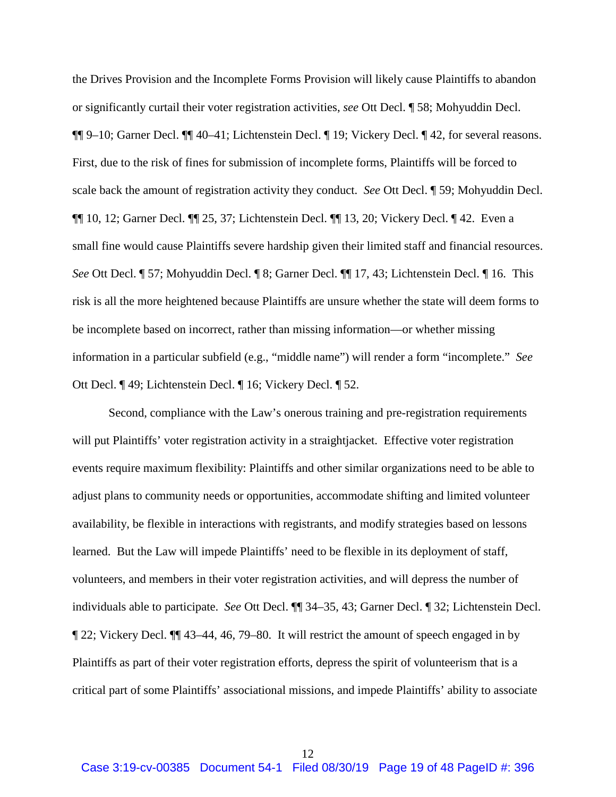the Drives Provision and the Incomplete Forms Provision will likely cause Plaintiffs to abandon or significantly curtail their voter registration activities, *see* Ott Decl. ¶ 58; Mohyuddin Decl. ¶¶ 9–10; Garner Decl. ¶¶ 40–41; Lichtenstein Decl. ¶ 19; Vickery Decl. ¶ 42, for several reasons. First, due to the risk of fines for submission of incomplete forms, Plaintiffs will be forced to scale back the amount of registration activity they conduct. *See* Ott Decl. ¶ 59; Mohyuddin Decl. ¶¶ 10, 12; Garner Decl. ¶¶ 25, 37; Lichtenstein Decl. ¶¶ 13, 20; Vickery Decl. ¶ 42. Even a small fine would cause Plaintiffs severe hardship given their limited staff and financial resources. *See* Ott Decl. ¶ 57; Mohyuddin Decl. ¶ 8; Garner Decl. ¶¶ 17, 43; Lichtenstein Decl. ¶ 16. This risk is all the more heightened because Plaintiffs are unsure whether the state will deem forms to be incomplete based on incorrect, rather than missing information—or whether missing information in a particular subfield (e.g., "middle name") will render a form "incomplete." *See*  Ott Decl. ¶ 49; Lichtenstein Decl. ¶ 16; Vickery Decl. ¶ 52.

Second, compliance with the Law's onerous training and pre-registration requirements will put Plaintiffs' voter registration activity in a straight acket. Effective voter registration events require maximum flexibility: Plaintiffs and other similar organizations need to be able to adjust plans to community needs or opportunities, accommodate shifting and limited volunteer availability, be flexible in interactions with registrants, and modify strategies based on lessons learned. But the Law will impede Plaintiffs' need to be flexible in its deployment of staff, volunteers, and members in their voter registration activities, and will depress the number of individuals able to participate. *See* Ott Decl. ¶¶ 34–35, 43; Garner Decl. ¶ 32; Lichtenstein Decl. ¶ 22; Vickery Decl. ¶¶ 43–44, 46, 79–80. It will restrict the amount of speech engaged in by Plaintiffs as part of their voter registration efforts, depress the spirit of volunteerism that is a critical part of some Plaintiffs' associational missions, and impede Plaintiffs' ability to associate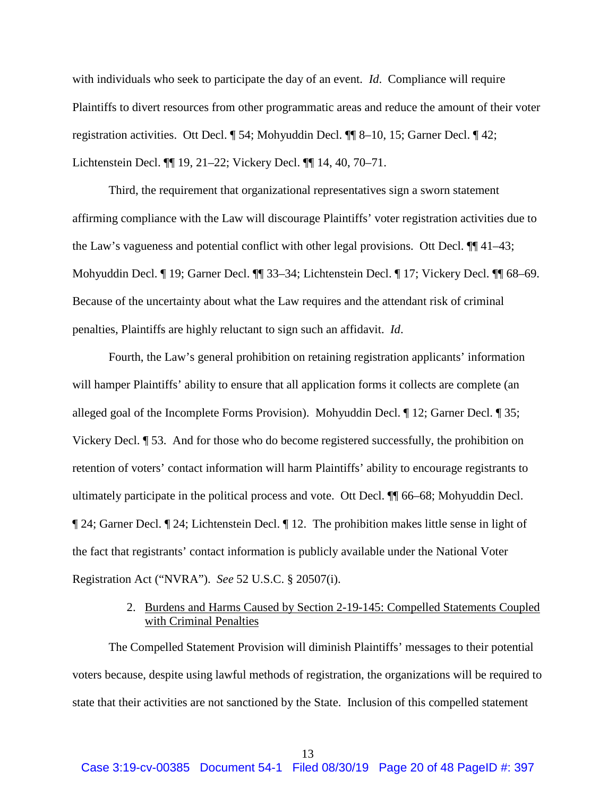with individuals who seek to participate the day of an event. *Id*. Compliance will require Plaintiffs to divert resources from other programmatic areas and reduce the amount of their voter registration activities. Ott Decl. ¶ 54; Mohyuddin Decl. ¶¶ 8–10, 15; Garner Decl. ¶ 42; Lichtenstein Decl. ¶¶ 19, 21–22; Vickery Decl. ¶¶ 14, 40, 70–71.

Third, the requirement that organizational representatives sign a sworn statement affirming compliance with the Law will discourage Plaintiffs' voter registration activities due to the Law's vagueness and potential conflict with other legal provisions. Ott Decl. ¶¶ 41–43; Mohyuddin Decl. ¶ 19; Garner Decl. ¶¶ 33–34; Lichtenstein Decl. ¶ 17; Vickery Decl. ¶¶ 68–69. Because of the uncertainty about what the Law requires and the attendant risk of criminal penalties, Plaintiffs are highly reluctant to sign such an affidavit. *Id*.

Fourth, the Law's general prohibition on retaining registration applicants' information will hamper Plaintiffs' ability to ensure that all application forms it collects are complete (an alleged goal of the Incomplete Forms Provision). Mohyuddin Decl. ¶ 12; Garner Decl. ¶ 35; Vickery Decl. ¶ 53. And for those who do become registered successfully, the prohibition on retention of voters' contact information will harm Plaintiffs' ability to encourage registrants to ultimately participate in the political process and vote. Ott Decl. ¶¶ 66–68; Mohyuddin Decl. ¶ 24; Garner Decl. ¶ 24; Lichtenstein Decl. ¶ 12. The prohibition makes little sense in light of the fact that registrants' contact information is publicly available under the National Voter Registration Act ("NVRA"). *See* 52 U.S.C. § 20507(i).

### 2. Burdens and Harms Caused by Section 2-19-145: Compelled Statements Coupled with Criminal Penalties

<span id="page-19-0"></span>The Compelled Statement Provision will diminish Plaintiffs' messages to their potential voters because, despite using lawful methods of registration, the organizations will be required to state that their activities are not sanctioned by the State. Inclusion of this compelled statement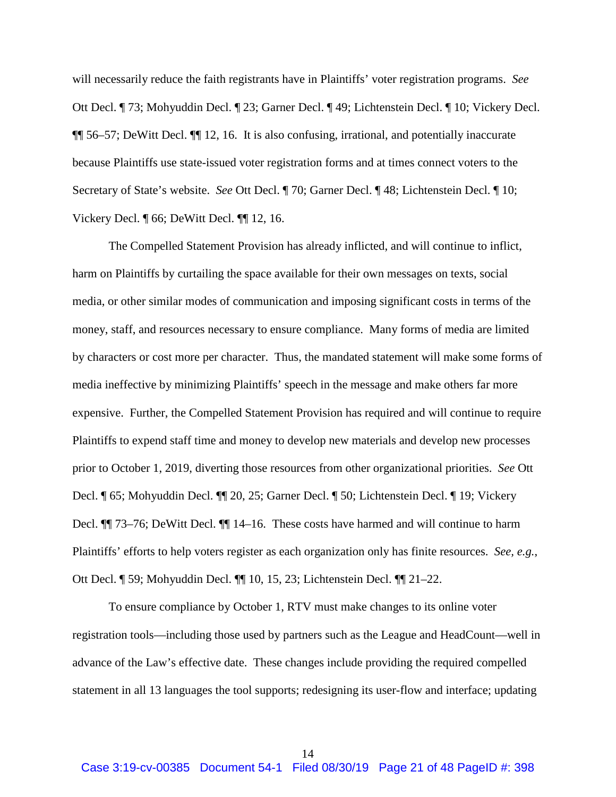will necessarily reduce the faith registrants have in Plaintiffs' voter registration programs. *See*  Ott Decl. ¶ 73; Mohyuddin Decl. ¶ 23; Garner Decl. ¶ 49; Lichtenstein Decl. ¶ 10; Vickery Decl.  $\P\P$  56–57; DeWitt Decl.  $\P\P$  12, 16. It is also confusing, irrational, and potentially inaccurate because Plaintiffs use state-issued voter registration forms and at times connect voters to the Secretary of State's website. *See* Ott Decl. ¶ 70; Garner Decl. ¶ 48; Lichtenstein Decl. ¶ 10; Vickery Decl. ¶ 66; DeWitt Decl. ¶¶ 12, 16.

The Compelled Statement Provision has already inflicted, and will continue to inflict, harm on Plaintiffs by curtailing the space available for their own messages on texts, social media, or other similar modes of communication and imposing significant costs in terms of the money, staff, and resources necessary to ensure compliance. Many forms of media are limited by characters or cost more per character. Thus, the mandated statement will make some forms of media ineffective by minimizing Plaintiffs' speech in the message and make others far more expensive. Further, the Compelled Statement Provision has required and will continue to require Plaintiffs to expend staff time and money to develop new materials and develop new processes prior to October 1, 2019, diverting those resources from other organizational priorities. *See* Ott Decl. ¶ 65; Mohyuddin Decl. ¶¶ 20, 25; Garner Decl. ¶ 50; Lichtenstein Decl. ¶ 19; Vickery Decl. ¶¶ 73–76; DeWitt Decl. ¶¶ 14–16. These costs have harmed and will continue to harm Plaintiffs' efforts to help voters register as each organization only has finite resources. *See, e.g.*, Ott Decl. ¶ 59; Mohyuddin Decl. ¶¶ 10, 15, 23; Lichtenstein Decl. ¶¶ 21–22.

To ensure compliance by October 1, RTV must make changes to its online voter registration tools—including those used by partners such as the League and HeadCount—well in advance of the Law's effective date. These changes include providing the required compelled statement in all 13 languages the tool supports; redesigning its user-flow and interface; updating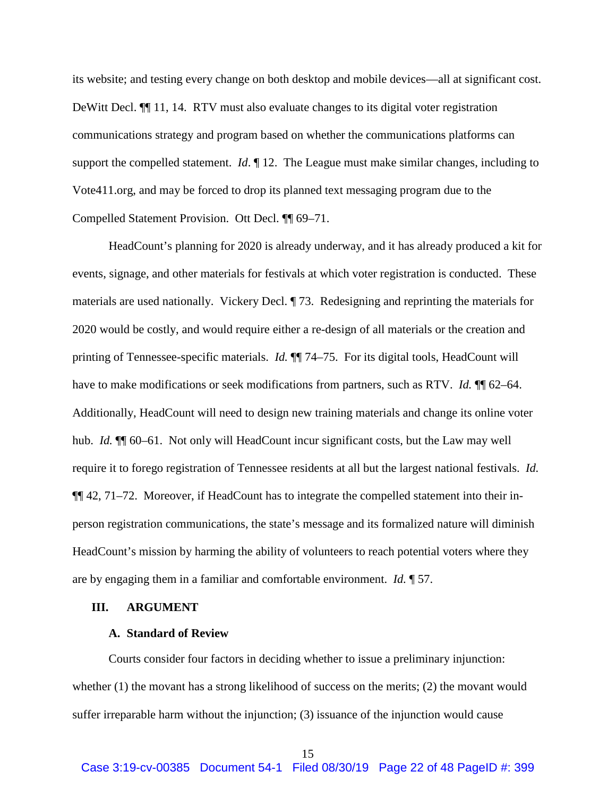its website; and testing every change on both desktop and mobile devices—all at significant cost. DeWitt Decl. **[14.** 14. RTV must also evaluate changes to its digital voter registration communications strategy and program based on whether the communications platforms can support the compelled statement. *Id*. ¶ 12. The League must make similar changes, including to Vote411.org, and may be forced to drop its planned text messaging program due to the Compelled Statement Provision. Ott Decl. ¶¶ 69–71.

HeadCount's planning for 2020 is already underway, and it has already produced a kit for events, signage, and other materials for festivals at which voter registration is conducted. These materials are used nationally. Vickery Decl. ¶ 73. Redesigning and reprinting the materials for 2020 would be costly, and would require either a re-design of all materials or the creation and printing of Tennessee-specific materials. *Id.* ¶¶ 74–75. For its digital tools, HeadCount will have to make modifications or seek modifications from partners, such as RTV. *Id.*  $\P$  62–64. Additionally, HeadCount will need to design new training materials and change its online voter hub. *Id.* **[1]** 60–61. Not only will HeadCount incur significant costs, but the Law may well require it to forego registration of Tennessee residents at all but the largest national festivals. *Id.* ¶¶ 42, 71–72. Moreover, if HeadCount has to integrate the compelled statement into their inperson registration communications, the state's message and its formalized nature will diminish HeadCount's mission by harming the ability of volunteers to reach potential voters where they are by engaging them in a familiar and comfortable environment. *Id.* ¶ 57.

#### <span id="page-21-0"></span>**III. ARGUMENT**

#### **A. Standard of Review**

<span id="page-21-1"></span>Courts consider four factors in deciding whether to issue a preliminary injunction: whether (1) the movant has a strong likelihood of success on the merits; (2) the movant would suffer irreparable harm without the injunction; (3) issuance of the injunction would cause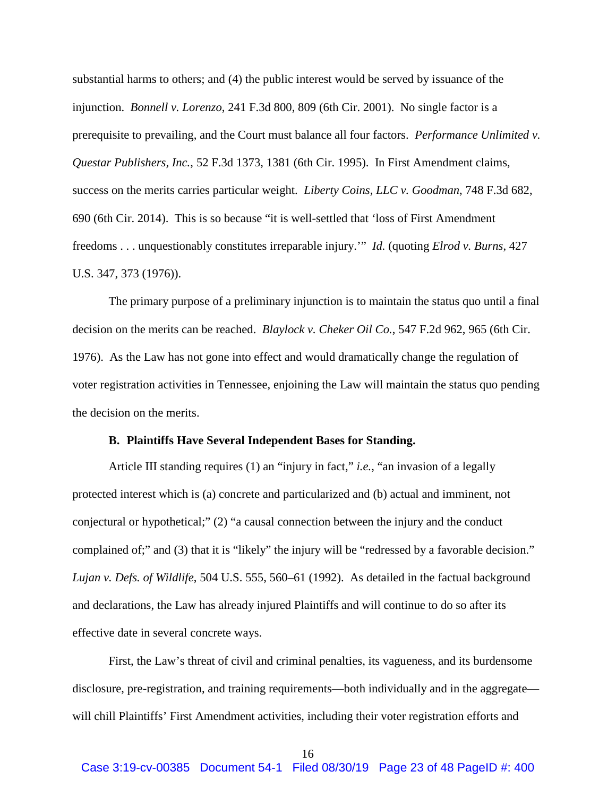substantial harms to others; and (4) the public interest would be served by issuance of the injunction. *Bonnell v. Lorenzo*, 241 F.3d 800, 809 (6th Cir. 2001). No single factor is a prerequisite to prevailing, and the Court must balance all four factors. *Performance Unlimited v. Questar Publishers, Inc.*, 52 F.3d 1373, 1381 (6th Cir. 1995). In First Amendment claims, success on the merits carries particular weight. *Liberty Coins, LLC v. Goodman*, 748 F.3d 682, 690 (6th Cir. 2014). This is so because "it is well-settled that 'loss of First Amendment freedoms . . . unquestionably constitutes irreparable injury.'" *Id.* (quoting *Elrod v. Burns*, 427 U.S. 347, 373 (1976)).

The primary purpose of a preliminary injunction is to maintain the status quo until a final decision on the merits can be reached. *Blaylock v. Cheker Oil Co.*, 547 F.2d 962, 965 (6th Cir. 1976). As the Law has not gone into effect and would dramatically change the regulation of voter registration activities in Tennessee, enjoining the Law will maintain the status quo pending the decision on the merits.

#### **B. Plaintiffs Have Several Independent Bases for Standing.**

<span id="page-22-0"></span>Article III standing requires (1) an "injury in fact," *i.e.*, "an invasion of a legally protected interest which is (a) concrete and particularized and (b) actual and imminent, not conjectural or hypothetical;" (2) "a causal connection between the injury and the conduct complained of;" and (3) that it is "likely" the injury will be "redressed by a favorable decision." *Lujan v. Defs. of Wildlife*, 504 U.S. 555, 560–61 (1992). As detailed in the factual background and declarations, the Law has already injured Plaintiffs and will continue to do so after its effective date in several concrete ways.

First, the Law's threat of civil and criminal penalties, its vagueness, and its burdensome disclosure, pre-registration, and training requirements—both individually and in the aggregate will chill Plaintiffs' First Amendment activities, including their voter registration efforts and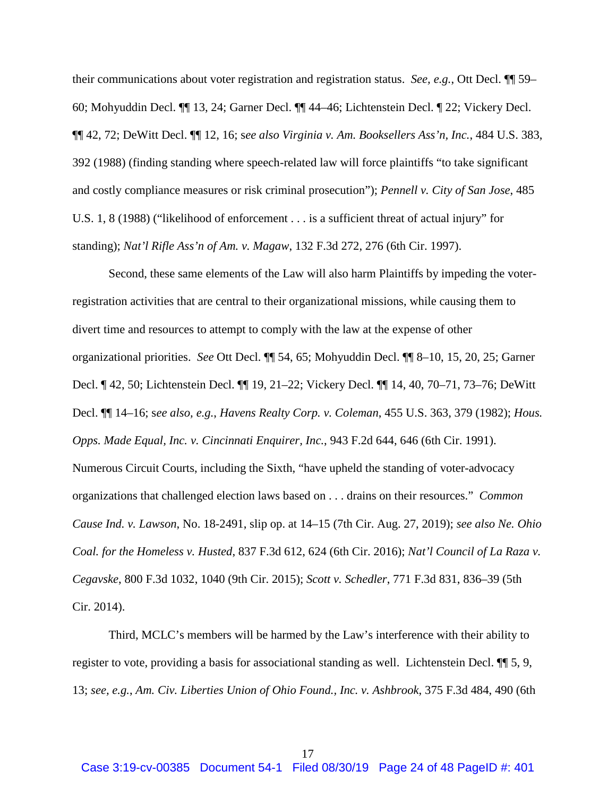their communications about voter registration and registration status. *See, e.g.*, Ott Decl. ¶¶ 59– 60; Mohyuddin Decl. ¶¶ 13, 24; Garner Decl. ¶¶ 44–46; Lichtenstein Decl. ¶ 22; Vickery Decl. ¶¶ 42, 72; DeWitt Decl. ¶¶ 12, 16; s*ee also Virginia v. Am. Booksellers Ass'n, Inc.*, 484 U.S. 383, 392 (1988) (finding standing where speech-related law will force plaintiffs "to take significant and costly compliance measures or risk criminal prosecution"); *Pennell v. City of San Jose*, 485 U.S. 1, 8 (1988) ("likelihood of enforcement . . . is a sufficient threat of actual injury" for standing); *Nat'l Rifle Ass'n of Am. v. Magaw*, 132 F.3d 272, 276 (6th Cir. 1997).

Second, these same elements of the Law will also harm Plaintiffs by impeding the voterregistration activities that are central to their organizational missions, while causing them to divert time and resources to attempt to comply with the law at the expense of other organizational priorities. *See* Ott Decl. ¶¶ 54, 65; Mohyuddin Decl. ¶¶ 8–10, 15, 20, 25; Garner Decl. ¶ 42, 50; Lichtenstein Decl. ¶¶ 19, 21–22; Vickery Decl. ¶¶ 14, 40, 70–71, 73–76; DeWitt Decl. ¶¶ 14–16; s*ee also, e.g.*, *Havens Realty Corp. v. Coleman*, 455 U.S. 363, 379 (1982); *Hous. Opps. Made Equal, Inc. v. Cincinnati Enquirer, Inc.*, 943 F.2d 644, 646 (6th Cir. 1991). Numerous Circuit Courts, including the Sixth, "have upheld the standing of voter-advocacy organizations that challenged election laws based on . . . drains on their resources." *Common Cause Ind. v. Lawson*, No. 18-2491, slip op. at 14–15 (7th Cir. Aug. 27, 2019); *see also Ne. Ohio Coal. for the Homeless v. Husted*, 837 F.3d 612, 624 (6th Cir. 2016); *Nat'l Council of La Raza v. Cegavske*, 800 F.3d 1032, 1040 (9th Cir. 2015); *Scott v. Schedler*, 771 F.3d 831, 836–39 (5th Cir. 2014).

Third, MCLC's members will be harmed by the Law's interference with their ability to register to vote, providing a basis for associational standing as well. Lichtenstein Decl. ¶¶ 5, 9, 13; *see, e.g.*, *Am. Civ. Liberties Union of Ohio Found., Inc. v. Ashbrook*, 375 F.3d 484, 490 (6th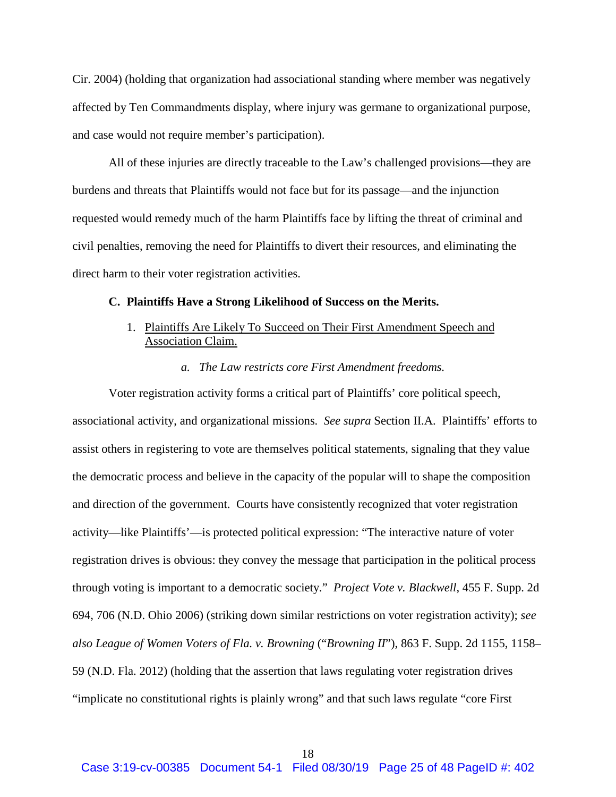Cir. 2004) (holding that organization had associational standing where member was negatively affected by Ten Commandments display, where injury was germane to organizational purpose, and case would not require member's participation).

All of these injuries are directly traceable to the Law's challenged provisions—they are burdens and threats that Plaintiffs would not face but for its passage—and the injunction requested would remedy much of the harm Plaintiffs face by lifting the threat of criminal and civil penalties, removing the need for Plaintiffs to divert their resources, and eliminating the direct harm to their voter registration activities.

#### <span id="page-24-1"></span><span id="page-24-0"></span>**C. Plaintiffs Have a Strong Likelihood of Success on the Merits.**

- 1. Plaintiffs Are Likely To Succeed on Their First Amendment Speech and Association Claim.
	- *a. The Law restricts core First Amendment freedoms.*

Voter registration activity forms a critical part of Plaintiffs' core political speech, associational activity, and organizational missions. *See supra* Section II.A. Plaintiffs' efforts to assist others in registering to vote are themselves political statements, signaling that they value the democratic process and believe in the capacity of the popular will to shape the composition and direction of the government. Courts have consistently recognized that voter registration activity—like Plaintiffs'—is protected political expression: "The interactive nature of voter registration drives is obvious: they convey the message that participation in the political process through voting is important to a democratic society." *Project Vote v. Blackwell*, 455 F. Supp. 2d 694, 706 (N.D. Ohio 2006) (striking down similar restrictions on voter registration activity); *see also League of Women Voters of Fla. v. Browning* ("*Browning II*"), 863 F. Supp. 2d 1155, 1158– 59 (N.D. Fla. 2012) (holding that the assertion that laws regulating voter registration drives "implicate no constitutional rights is plainly wrong" and that such laws regulate "core First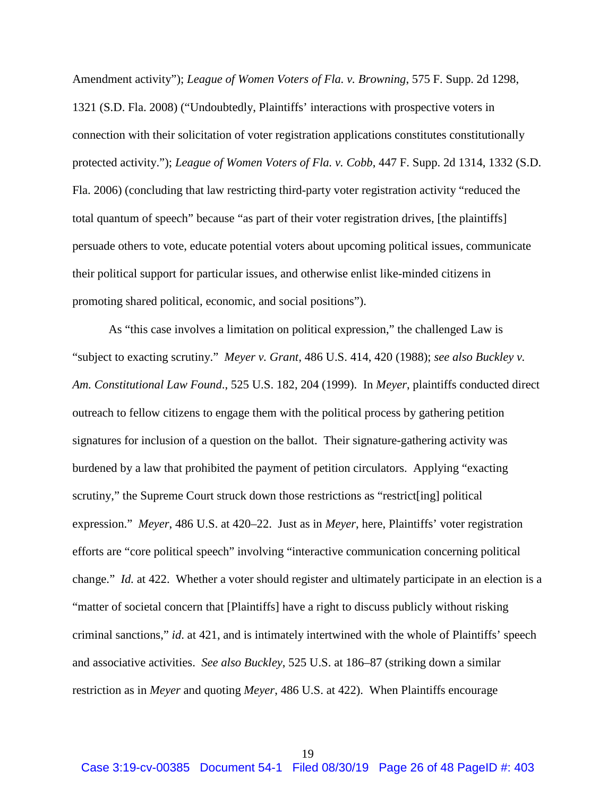Amendment activity"); *League of Women Voters of Fla. v. Browning*, 575 F. Supp. 2d 1298, 1321 (S.D. Fla. 2008) ("Undoubtedly, Plaintiffs' interactions with prospective voters in connection with their solicitation of voter registration applications constitutes constitutionally protected activity."); *League of Women Voters of Fla. v. Cobb*, 447 F. Supp. 2d 1314, 1332 (S.D. Fla. 2006) (concluding that law restricting third-party voter registration activity "reduced the total quantum of speech" because "as part of their voter registration drives, [the plaintiffs] persuade others to vote, educate potential voters about upcoming political issues, communicate their political support for particular issues, and otherwise enlist like-minded citizens in promoting shared political, economic, and social positions").

As "this case involves a limitation on political expression," the challenged Law is "subject to exacting scrutiny." *Meyer v. Grant*, 486 U.S. 414, 420 (1988); *see also Buckley v. Am. Constitutional Law Found*., 525 U.S. 182, 204 (1999). In *Meyer*, plaintiffs conducted direct outreach to fellow citizens to engage them with the political process by gathering petition signatures for inclusion of a question on the ballot. Their signature-gathering activity was burdened by a law that prohibited the payment of petition circulators. Applying "exacting scrutiny," the Supreme Court struck down those restrictions as "restrict[ing] political expression." *Meyer*, 486 U.S. at 420–22. Just as in *Meyer*, here, Plaintiffs' voter registration efforts are "core political speech" involving "interactive communication concerning political change." *Id.* at 422. Whether a voter should register and ultimately participate in an election is a "matter of societal concern that [Plaintiffs] have a right to discuss publicly without risking criminal sanctions," *id*. at 421, and is intimately intertwined with the whole of Plaintiffs' speech and associative activities. *See also Buckley*, 525 U.S. at 186–87 (striking down a similar restriction as in *Meyer* and quoting *Meyer*, 486 U.S. at 422). When Plaintiffs encourage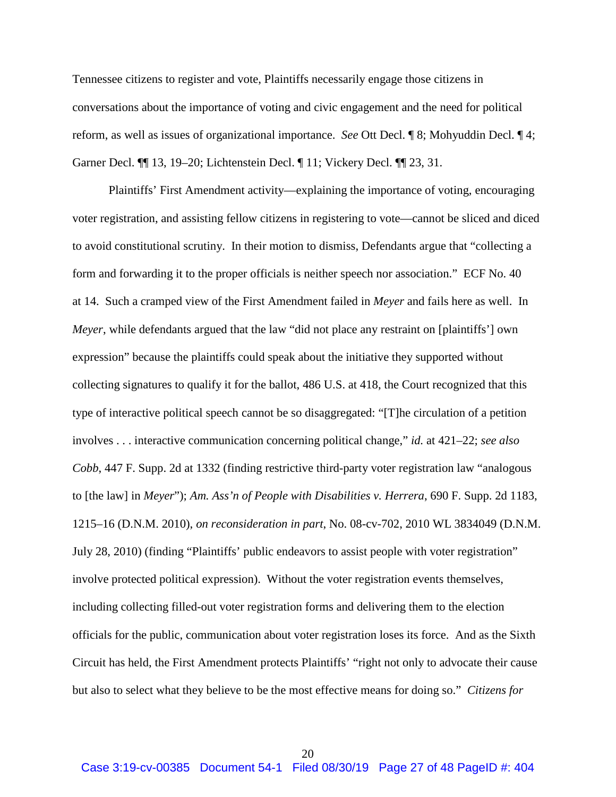Tennessee citizens to register and vote, Plaintiffs necessarily engage those citizens in conversations about the importance of voting and civic engagement and the need for political reform, as well as issues of organizational importance. *See* Ott Decl. ¶ 8; Mohyuddin Decl. ¶ 4; Garner Decl. ¶¶ 13, 19–20; Lichtenstein Decl. ¶ 11; Vickery Decl. ¶¶ 23, 31.

Plaintiffs' First Amendment activity—explaining the importance of voting, encouraging voter registration, and assisting fellow citizens in registering to vote—cannot be sliced and diced to avoid constitutional scrutiny. In their motion to dismiss, Defendants argue that "collecting a form and forwarding it to the proper officials is neither speech nor association." ECF No. 40 at 14. Such a cramped view of the First Amendment failed in *Meyer* and fails here as well. In *Meyer*, while defendants argued that the law "did not place any restraint on [plaintiffs'] own expression" because the plaintiffs could speak about the initiative they supported without collecting signatures to qualify it for the ballot, 486 U.S. at 418, the Court recognized that this type of interactive political speech cannot be so disaggregated: "[T]he circulation of a petition involves . . . interactive communication concerning political change," *id.* at 421–22; *see also Cobb*, 447 F. Supp. 2d at 1332 (finding restrictive third-party voter registration law "analogous to [the law] in *Meyer*"); *Am. Ass'n of People with Disabilities v. Herrera*, 690 F. Supp. 2d 1183, 1215–16 (D.N.M. 2010), *on reconsideration in part*, No. 08-cv-702, 2010 WL 3834049 (D.N.M. July 28, 2010) (finding "Plaintiffs' public endeavors to assist people with voter registration" involve protected political expression). Without the voter registration events themselves, including collecting filled-out voter registration forms and delivering them to the election officials for the public, communication about voter registration loses its force. And as the Sixth Circuit has held, the First Amendment protects Plaintiffs' "right not only to advocate their cause but also to select what they believe to be the most effective means for doing so." *Citizens for*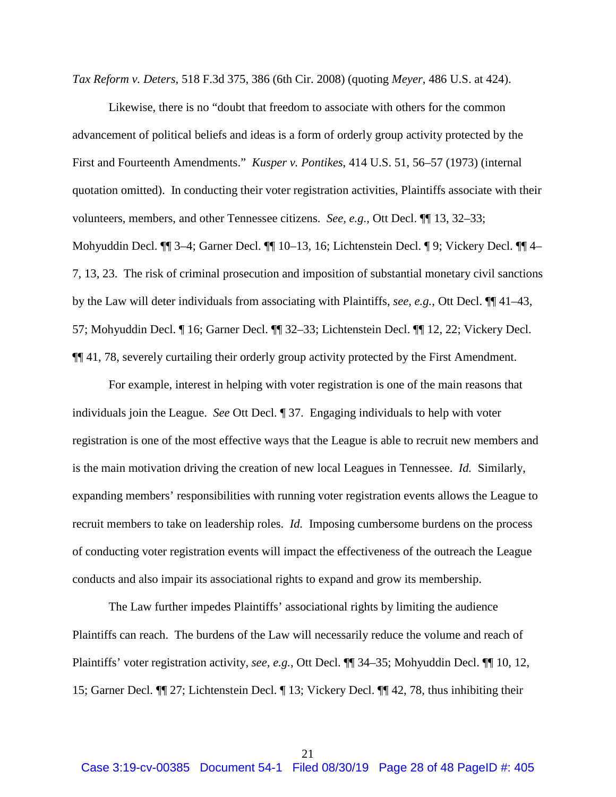*Tax Reform v. Deters*, 518 F.3d 375, 386 (6th Cir. 2008) (quoting *Meyer*, 486 U.S. at 424).

Likewise, there is no "doubt that freedom to associate with others for the common advancement of political beliefs and ideas is a form of orderly group activity protected by the First and Fourteenth Amendments." *Kusper v. Pontikes*, 414 U.S. 51, 56–57 (1973) (internal quotation omitted). In conducting their voter registration activities, Plaintiffs associate with their volunteers, members, and other Tennessee citizens. *See, e.g.*, Ott Decl. ¶¶ 13, 32–33; Mohyuddin Decl. ¶¶ 3–4; Garner Decl. ¶¶ 10–13, 16; Lichtenstein Decl. ¶ 9; Vickery Decl. ¶¶ 4– 7, 13, 23. The risk of criminal prosecution and imposition of substantial monetary civil sanctions by the Law will deter individuals from associating with Plaintiffs, *see, e.g.*, Ott Decl. ¶¶ 41–43, 57; Mohyuddin Decl. ¶ 16; Garner Decl. ¶¶ 32–33; Lichtenstein Decl. ¶¶ 12, 22; Vickery Decl. ¶¶ 41, 78, severely curtailing their orderly group activity protected by the First Amendment.

For example, interest in helping with voter registration is one of the main reasons that individuals join the League. *See* Ott Decl. ¶ 37. Engaging individuals to help with voter registration is one of the most effective ways that the League is able to recruit new members and is the main motivation driving the creation of new local Leagues in Tennessee. *Id.* Similarly, expanding members' responsibilities with running voter registration events allows the League to recruit members to take on leadership roles. *Id.* Imposing cumbersome burdens on the process of conducting voter registration events will impact the effectiveness of the outreach the League conducts and also impair its associational rights to expand and grow its membership.

The Law further impedes Plaintiffs' associational rights by limiting the audience Plaintiffs can reach. The burdens of the Law will necessarily reduce the volume and reach of Plaintiffs' voter registration activity, *see, e.g.*, Ott Decl. ¶¶ 34–35; Mohyuddin Decl. ¶¶ 10, 12, 15; Garner Decl. ¶¶ 27; Lichtenstein Decl. ¶ 13; Vickery Decl. ¶¶ 42, 78, thus inhibiting their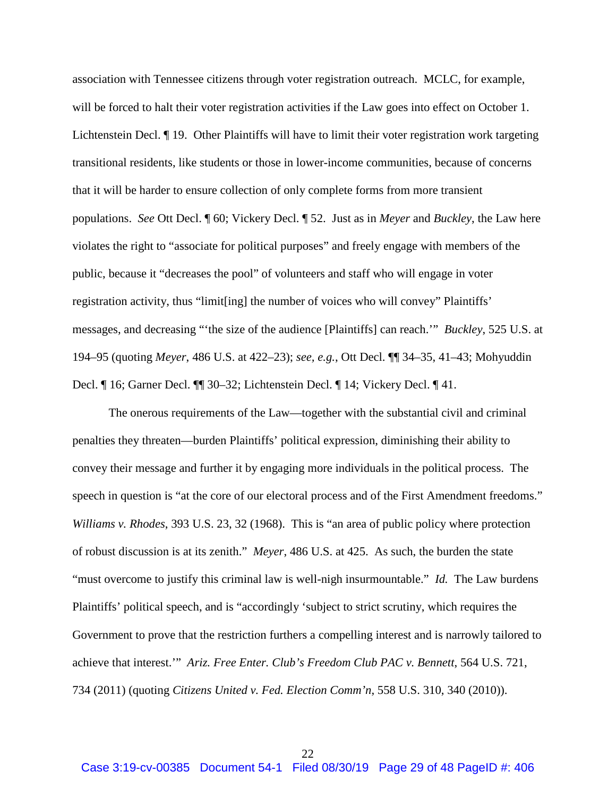association with Tennessee citizens through voter registration outreach. MCLC, for example, will be forced to halt their voter registration activities if the Law goes into effect on October 1. Lichtenstein Decl. ¶ 19. Other Plaintiffs will have to limit their voter registration work targeting transitional residents, like students or those in lower-income communities, because of concerns that it will be harder to ensure collection of only complete forms from more transient populations. *See* Ott Decl. ¶ 60; Vickery Decl. ¶ 52. Just as in *Meyer* and *Buckley*, the Law here violates the right to "associate for political purposes" and freely engage with members of the public, because it "decreases the pool" of volunteers and staff who will engage in voter registration activity, thus "limit[ing] the number of voices who will convey" Plaintiffs' messages, and decreasing "'the size of the audience [Plaintiffs] can reach.'" *Buckley*, 525 U.S. at 194–95 (quoting *Meyer*, 486 U.S. at 422–23); *see, e.g.*, Ott Decl. ¶¶ 34–35, 41–43; Mohyuddin Decl. ¶ 16; Garner Decl. ¶¶ 30–32; Lichtenstein Decl. ¶ 14; Vickery Decl. ¶ 41.

The onerous requirements of the Law—together with the substantial civil and criminal penalties they threaten—burden Plaintiffs' political expression, diminishing their ability to convey their message and further it by engaging more individuals in the political process. The speech in question is "at the core of our electoral process and of the First Amendment freedoms." *Williams v. Rhodes*, 393 U.S. 23, 32 (1968). This is "an area of public policy where protection of robust discussion is at its zenith." *Meyer*, 486 U.S. at 425. As such, the burden the state "must overcome to justify this criminal law is well-nigh insurmountable." *Id.* The Law burdens Plaintiffs' political speech, and is "accordingly 'subject to strict scrutiny, which requires the Government to prove that the restriction furthers a compelling interest and is narrowly tailored to achieve that interest.'" *Ariz. Free Enter. Club's Freedom Club PAC v. Bennett*, 564 U.S. 721, 734 (2011) (quoting *Citizens United v. Fed. Election Comm'n*, 558 U.S. 310, 340 (2010)).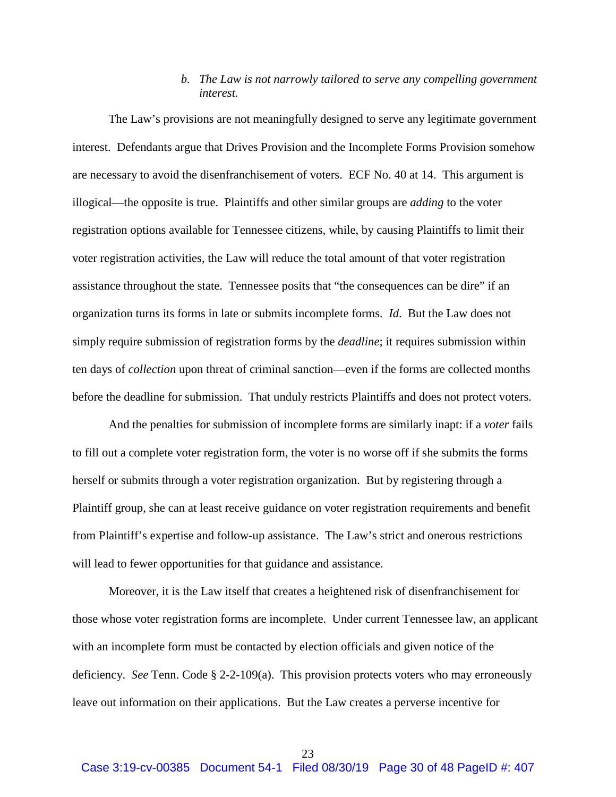# *b. The Law is not narrowly tailored to serve any compelling government interest.*

The Law's provisions are not meaningfully designed to serve any legitimate government interest. Defendants argue that Drives Provision and the Incomplete Forms Provision somehow are necessary to avoid the disenfranchisement of voters. ECF No. 40 at 14. This argument is illogical—the opposite is true. Plaintiffs and other similar groups are *adding* to the voter registration options available for Tennessee citizens, while, by causing Plaintiffs to limit their voter registration activities, the Law will reduce the total amount of that voter registration assistance throughout the state. Tennessee posits that "the consequences can be dire" if an organization turns its forms in late or submits incomplete forms. *Id*. But the Law does not simply require submission of registration forms by the *deadline*; it requires submission within ten days of *collection* upon threat of criminal sanction—even if the forms are collected months before the deadline for submission. That unduly restricts Plaintiffs and does not protect voters.

And the penalties for submission of incomplete forms are similarly inapt: if a *voter* fails to fill out a complete voter registration form, the voter is no worse off if she submits the forms herself or submits through a voter registration organization. But by registering through a Plaintiff group, she can at least receive guidance on voter registration requirements and benefit from Plaintiff's expertise and follow-up assistance. The Law's strict and onerous restrictions will lead to fewer opportunities for that guidance and assistance.

Moreover, it is the Law itself that creates a heightened risk of disenfranchisement for those whose voter registration forms are incomplete. Under current Tennessee law, an applicant with an incomplete form must be contacted by election officials and given notice of the deficiency. *See* Tenn. Code § 2-2-109(a). This provision protects voters who may erroneously leave out information on their applications. But the Law creates a perverse incentive for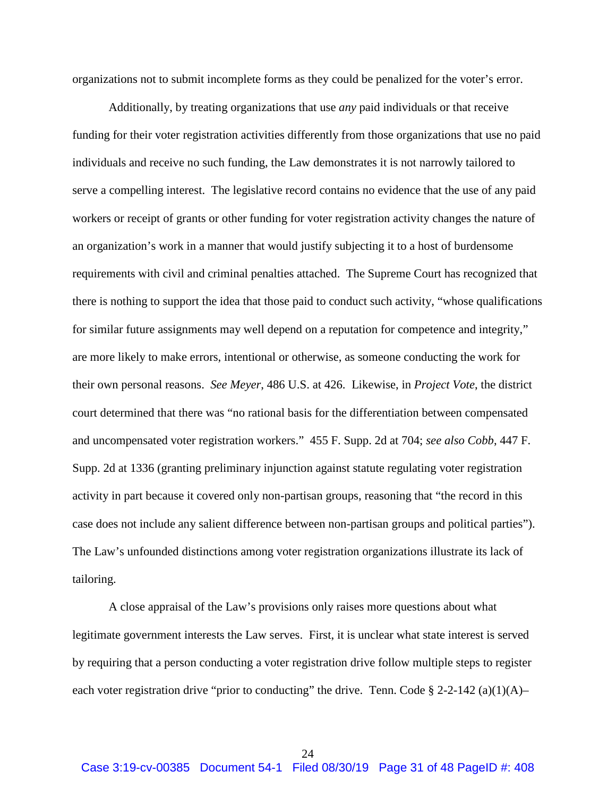organizations not to submit incomplete forms as they could be penalized for the voter's error.

Additionally, by treating organizations that use *any* paid individuals or that receive funding for their voter registration activities differently from those organizations that use no paid individuals and receive no such funding, the Law demonstrates it is not narrowly tailored to serve a compelling interest. The legislative record contains no evidence that the use of any paid workers or receipt of grants or other funding for voter registration activity changes the nature of an organization's work in a manner that would justify subjecting it to a host of burdensome requirements with civil and criminal penalties attached. The Supreme Court has recognized that there is nothing to support the idea that those paid to conduct such activity, "whose qualifications for similar future assignments may well depend on a reputation for competence and integrity," are more likely to make errors, intentional or otherwise, as someone conducting the work for their own personal reasons. *See Meyer*, 486 U.S. at 426. Likewise, in *Project Vote*, the district court determined that there was "no rational basis for the differentiation between compensated and uncompensated voter registration workers." 455 F. Supp. 2d at 704; *see also Cobb*, 447 F. Supp. 2d at 1336 (granting preliminary injunction against statute regulating voter registration activity in part because it covered only non-partisan groups, reasoning that "the record in this case does not include any salient difference between non-partisan groups and political parties"). The Law's unfounded distinctions among voter registration organizations illustrate its lack of tailoring.

A close appraisal of the Law's provisions only raises more questions about what legitimate government interests the Law serves. First, it is unclear what state interest is served by requiring that a person conducting a voter registration drive follow multiple steps to register each voter registration drive "prior to conducting" the drive. Tenn. Code § 2-2-142 (a)(1)(A)–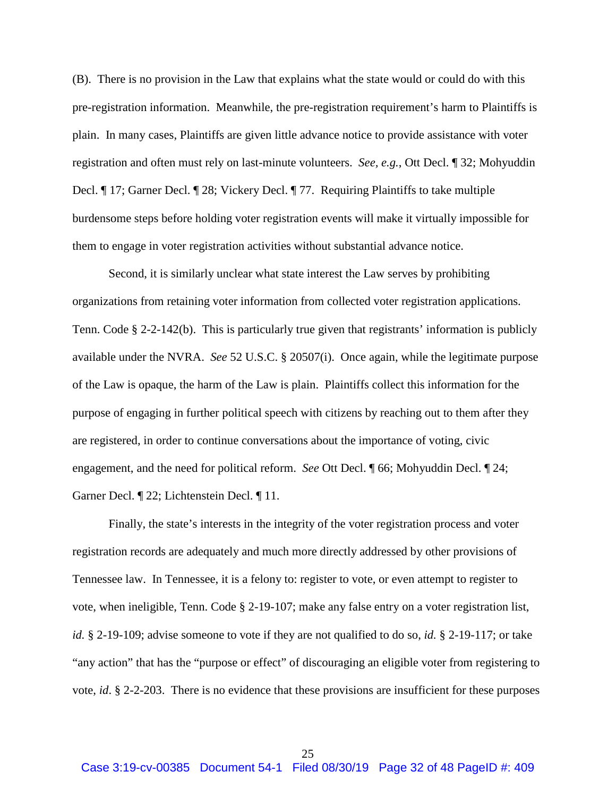(B). There is no provision in the Law that explains what the state would or could do with this pre-registration information. Meanwhile, the pre-registration requirement's harm to Plaintiffs is plain. In many cases, Plaintiffs are given little advance notice to provide assistance with voter registration and often must rely on last-minute volunteers. *See, e.g.*, Ott Decl. ¶ 32; Mohyuddin Decl. ¶ 17; Garner Decl. ¶ 28; Vickery Decl. ¶ 77. Requiring Plaintiffs to take multiple burdensome steps before holding voter registration events will make it virtually impossible for them to engage in voter registration activities without substantial advance notice.

Second, it is similarly unclear what state interest the Law serves by prohibiting organizations from retaining voter information from collected voter registration applications. Tenn. Code § 2-2-142(b). This is particularly true given that registrants' information is publicly available under the NVRA. *See* 52 U.S.C. § 20507(i). Once again, while the legitimate purpose of the Law is opaque, the harm of the Law is plain. Plaintiffs collect this information for the purpose of engaging in further political speech with citizens by reaching out to them after they are registered, in order to continue conversations about the importance of voting, civic engagement, and the need for political reform. *See* Ott Decl. ¶ 66; Mohyuddin Decl. ¶ 24; Garner Decl. ¶ 22; Lichtenstein Decl. ¶ 11.

Finally, the state's interests in the integrity of the voter registration process and voter registration records are adequately and much more directly addressed by other provisions of Tennessee law. In Tennessee, it is a felony to: register to vote, or even attempt to register to vote, when ineligible, Tenn. Code § 2-19-107; make any false entry on a voter registration list, *id.* § 2-19-109; advise someone to vote if they are not qualified to do so, *id.* § 2-19-117; or take "any action" that has the "purpose or effect" of discouraging an eligible voter from registering to vote, *id*. § 2-2-203. There is no evidence that these provisions are insufficient for these purposes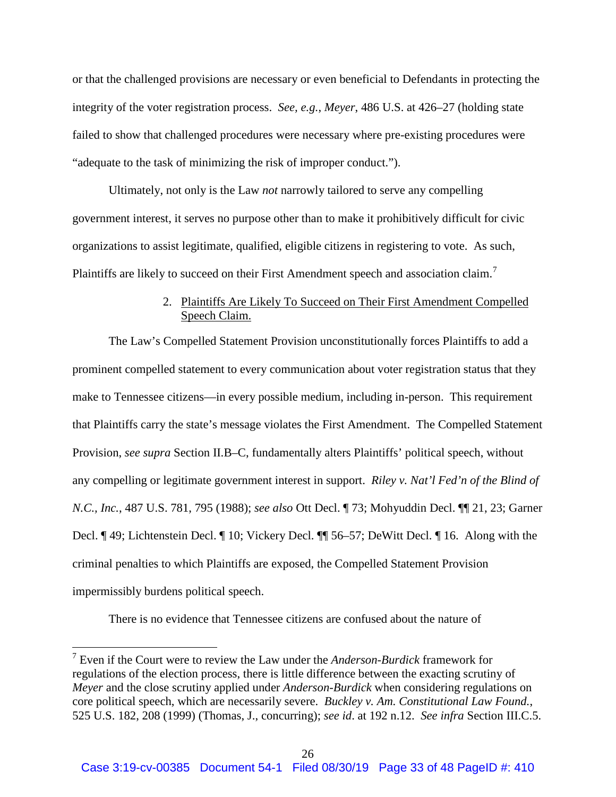or that the challenged provisions are necessary or even beneficial to Defendants in protecting the integrity of the voter registration process. *See, e.g.*, *Meyer*, 486 U.S. at 426–27 (holding state failed to show that challenged procedures were necessary where pre-existing procedures were "adequate to the task of minimizing the risk of improper conduct.").

Ultimately, not only is the Law *not* narrowly tailored to serve any compelling government interest, it serves no purpose other than to make it prohibitively difficult for civic organizations to assist legitimate, qualified, eligible citizens in registering to vote. As such, Plaintiffs are likely to succeed on their First Amendment speech and association claim.

# 2. Plaintiffs Are Likely To Succeed on Their First Amendment Compelled Speech Claim.

<span id="page-32-0"></span>The Law's Compelled Statement Provision unconstitutionally forces Plaintiffs to add a prominent compelled statement to every communication about voter registration status that they make to Tennessee citizens—in every possible medium, including in-person. This requirement that Plaintiffs carry the state's message violates the First Amendment. The Compelled Statement Provision, *see supra* Section II.B–C, fundamentally alters Plaintiffs' political speech, without any compelling or legitimate government interest in support. *Riley v. Nat'l Fed'n of the Blind of N.C., Inc.*, 487 U.S. 781, 795 (1988); *see also* Ott Decl. ¶ 73; Mohyuddin Decl. ¶¶ 21, 23; Garner Decl. ¶ 49; Lichtenstein Decl. ¶ 10; Vickery Decl. ¶¶ 56–57; DeWitt Decl. ¶ 16. Along with the criminal penalties to which Plaintiffs are exposed, the Compelled Statement Provision impermissibly burdens political speech.

There is no evidence that Tennessee citizens are confused about the nature of

 <sup>7</sup> Even if the Court were to review the Law under the *Anderson-Burdick* framework for regulations of the election process, there is little difference between the exacting scrutiny of *Meyer* and the close scrutiny applied under *Anderson-Burdick* when considering regulations on core political speech, which are necessarily severe. *Buckley v. Am. Constitutional Law Found.*, 525 U.S. 182, 208 (1999) (Thomas, J., concurring); *see id*. at 192 n.12. *See infra* Section III.C.5.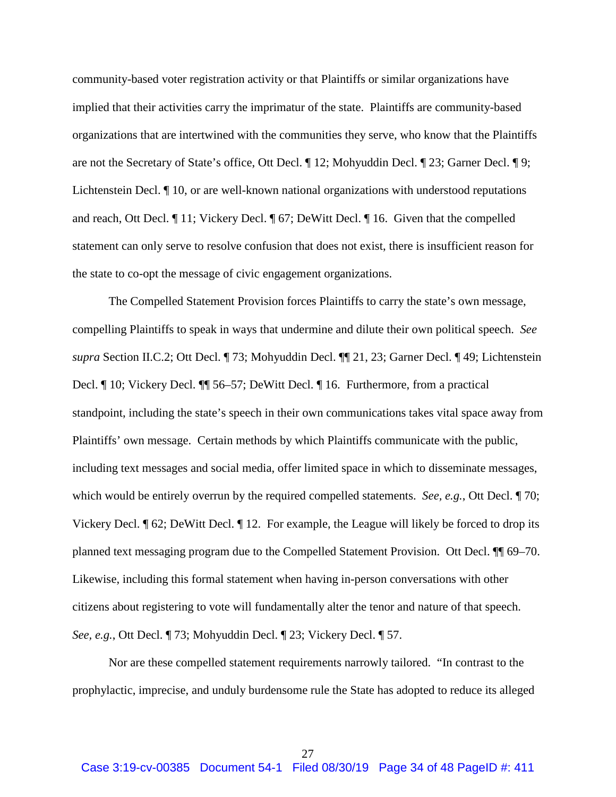community-based voter registration activity or that Plaintiffs or similar organizations have implied that their activities carry the imprimatur of the state. Plaintiffs are community-based organizations that are intertwined with the communities they serve, who know that the Plaintiffs are not the Secretary of State's office, Ott Decl. ¶ 12; Mohyuddin Decl. ¶ 23; Garner Decl. ¶ 9; Lichtenstein Decl. ¶ 10, or are well-known national organizations with understood reputations and reach, Ott Decl. ¶ 11; Vickery Decl. ¶ 67; DeWitt Decl. ¶ 16. Given that the compelled statement can only serve to resolve confusion that does not exist, there is insufficient reason for the state to co-opt the message of civic engagement organizations.

The Compelled Statement Provision forces Plaintiffs to carry the state's own message, compelling Plaintiffs to speak in ways that undermine and dilute their own political speech. *See supra* Section II.C.2; Ott Decl. ¶ 73; Mohyuddin Decl. ¶¶ 21, 23; Garner Decl. ¶ 49; Lichtenstein Decl. ¶ 10; Vickery Decl. ¶¶ 56–57; DeWitt Decl. ¶ 16. Furthermore, from a practical standpoint, including the state's speech in their own communications takes vital space away from Plaintiffs' own message. Certain methods by which Plaintiffs communicate with the public, including text messages and social media, offer limited space in which to disseminate messages, which would be entirely overrun by the required compelled statements. *See, e.g.*, Ott Decl. ¶ 70; Vickery Decl. ¶ 62; DeWitt Decl. ¶ 12. For example, the League will likely be forced to drop its planned text messaging program due to the Compelled Statement Provision. Ott Decl. ¶¶ 69–70. Likewise, including this formal statement when having in-person conversations with other citizens about registering to vote will fundamentally alter the tenor and nature of that speech. *See, e.g.*, Ott Decl. ¶ 73; Mohyuddin Decl. ¶ 23; Vickery Decl. ¶ 57.

Nor are these compelled statement requirements narrowly tailored. "In contrast to the prophylactic, imprecise, and unduly burdensome rule the State has adopted to reduce its alleged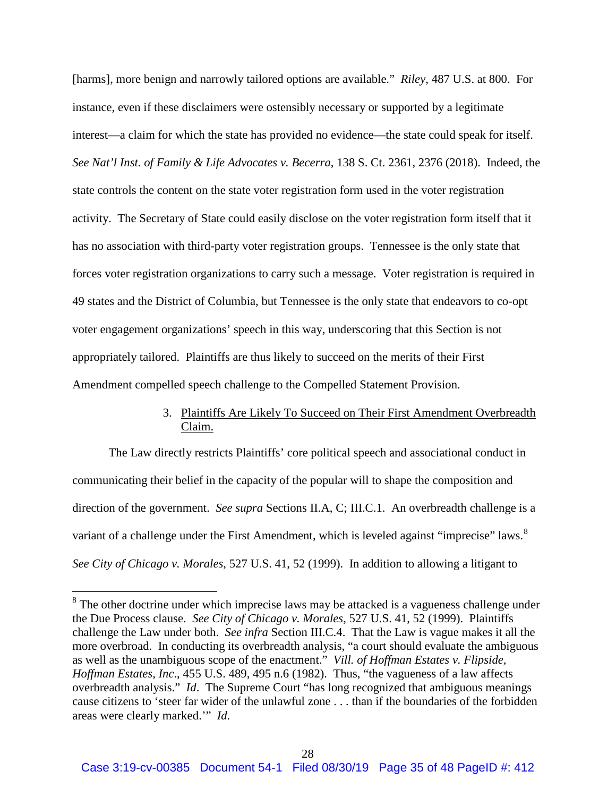[harms], more benign and narrowly tailored options are available." *Riley*, 487 U.S. at 800. For instance, even if these disclaimers were ostensibly necessary or supported by a legitimate interest—a claim for which the state has provided no evidence—the state could speak for itself. *See Nat'l Inst. of Family & Life Advocates v. Becerra*, 138 S. Ct. 2361, 2376 (2018). Indeed, the state controls the content on the state voter registration form used in the voter registration activity. The Secretary of State could easily disclose on the voter registration form itself that it has no association with third-party voter registration groups. Tennessee is the only state that forces voter registration organizations to carry such a message. Voter registration is required in 49 states and the District of Columbia, but Tennessee is the only state that endeavors to co-opt voter engagement organizations' speech in this way, underscoring that this Section is not appropriately tailored. Plaintiffs are thus likely to succeed on the merits of their First Amendment compelled speech challenge to the Compelled Statement Provision.

# 3. Plaintiffs Are Likely To Succeed on Their First Amendment Overbreadth Claim.

<span id="page-34-0"></span>The Law directly restricts Plaintiffs' core political speech and associational conduct in communicating their belief in the capacity of the popular will to shape the composition and direction of the government. *See supra* Sections II.A, C; III.C.1. An overbreadth challenge is a variant of a challenge under the First Amendment, which is leveled against "imprecise" laws.<sup>[8](#page-38-0)</sup> *See City of Chicago v. Morales*, 527 U.S. 41, 52 (1999). In addition to allowing a litigant to

 $8\text{ The other doctrine under which imprecise laws may be attacked is a vagueness challenge under.}$ the Due Process clause. *See City of Chicago v. Morales*, 527 U.S. 41, 52 (1999). Plaintiffs challenge the Law under both. *See infra* Section III.C.4. That the Law is vague makes it all the more overbroad. In conducting its overbreadth analysis, "a court should evaluate the ambiguous as well as the unambiguous scope of the enactment." *Vill. of Hoffman Estates v. Flipside, Hoffman Estates, Inc*., 455 U.S. 489, 495 n.6 (1982). Thus, "the vagueness of a law affects overbreadth analysis." *Id*. The Supreme Court "has long recognized that ambiguous meanings cause citizens to 'steer far wider of the unlawful zone . . . than if the boundaries of the forbidden areas were clearly marked.'" *Id*.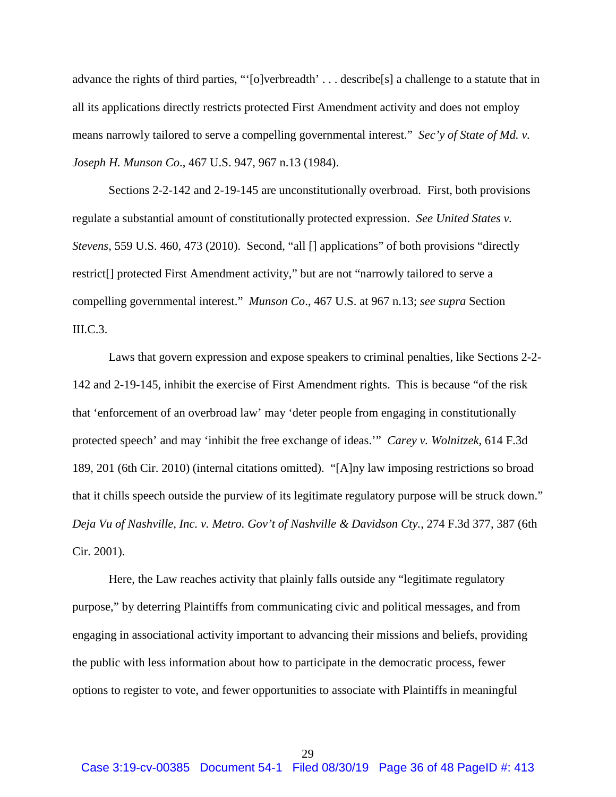advance the rights of third parties, "'[o]verbreadth' . . . describe[s] a challenge to a statute that in all its applications directly restricts protected First Amendment activity and does not employ means narrowly tailored to serve a compelling governmental interest." *Sec'y of State of Md. v. Joseph H. Munson Co*., 467 U.S. 947, 967 n.13 (1984).

Sections 2-2-142 and 2-19-145 are unconstitutionally overbroad. First, both provisions regulate a substantial amount of constitutionally protected expression. *See United States v. Stevens*, 559 U.S. 460, 473 (2010). Second, "all [] applications" of both provisions "directly restrict[] protected First Amendment activity," but are not "narrowly tailored to serve a compelling governmental interest." *Munson Co*., 467 U.S. at 967 n.13; *see supra* Section III.C.3.

Laws that govern expression and expose speakers to criminal penalties, like Sections 2-2- 142 and 2-19-145, inhibit the exercise of First Amendment rights. This is because "of the risk that 'enforcement of an overbroad law' may 'deter people from engaging in constitutionally protected speech' and may 'inhibit the free exchange of ideas.'" *Carey v. Wolnitzek*, 614 F.3d 189, 201 (6th Cir. 2010) (internal citations omitted). "[A]ny law imposing restrictions so broad that it chills speech outside the purview of its legitimate regulatory purpose will be struck down." *Deja Vu of Nashville, Inc. v. Metro. Gov't of Nashville & Davidson Cty.*, 274 F.3d 377, 387 (6th Cir. 2001).

Here, the Law reaches activity that plainly falls outside any "legitimate regulatory purpose," by deterring Plaintiffs from communicating civic and political messages, and from engaging in associational activity important to advancing their missions and beliefs, providing the public with less information about how to participate in the democratic process, fewer options to register to vote, and fewer opportunities to associate with Plaintiffs in meaningful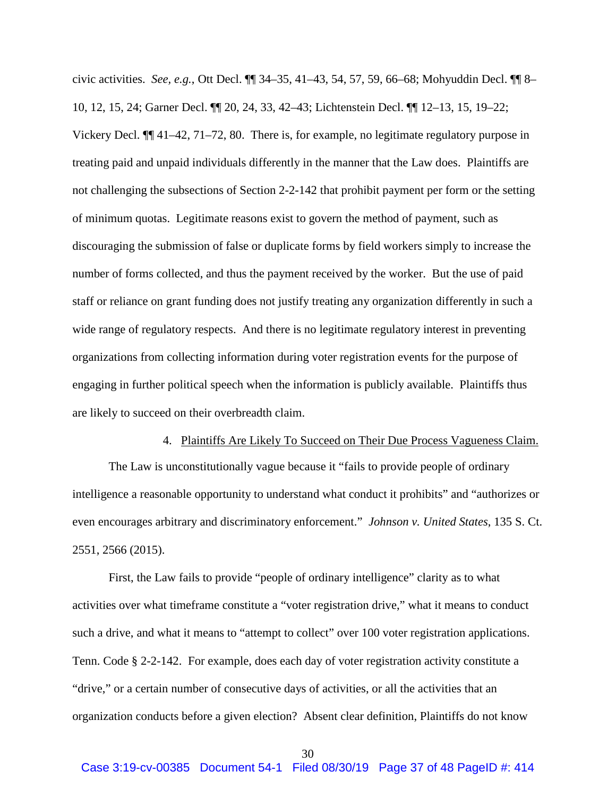civic activities. *See, e.g.*, Ott Decl. ¶¶ 34–35, 41–43, 54, 57, 59, 66–68; Mohyuddin Decl. ¶¶ 8– 10, 12, 15, 24; Garner Decl. ¶¶ 20, 24, 33, 42–43; Lichtenstein Decl. ¶¶ 12–13, 15, 19–22; Vickery Decl. ¶¶ 41–42, 71–72, 80. There is, for example, no legitimate regulatory purpose in treating paid and unpaid individuals differently in the manner that the Law does. Plaintiffs are not challenging the subsections of Section 2-2-142 that prohibit payment per form or the setting of minimum quotas. Legitimate reasons exist to govern the method of payment, such as discouraging the submission of false or duplicate forms by field workers simply to increase the number of forms collected, and thus the payment received by the worker. But the use of paid staff or reliance on grant funding does not justify treating any organization differently in such a wide range of regulatory respects. And there is no legitimate regulatory interest in preventing organizations from collecting information during voter registration events for the purpose of engaging in further political speech when the information is publicly available. Plaintiffs thus are likely to succeed on their overbreadth claim.

#### 4. Plaintiffs Are Likely To Succeed on Their Due Process Vagueness Claim.

<span id="page-36-0"></span>The Law is unconstitutionally vague because it "fails to provide people of ordinary intelligence a reasonable opportunity to understand what conduct it prohibits" and "authorizes or even encourages arbitrary and discriminatory enforcement." *Johnson v. United States*, 135 S. Ct. 2551, 2566 (2015).

<span id="page-36-1"></span>First, the Law fails to provide "people of ordinary intelligence" clarity as to what activities over what timeframe constitute a "voter registration drive," what it means to conduct such a drive, and what it means to "attempt to collect" over 100 voter registration applications. Tenn. Code § 2-2-142. For example, does each day of voter registration activity constitute a "drive," or a certain number of consecutive days of activities, or all the activities that an organization conducts before a given election? Absent clear definition, Plaintiffs do not know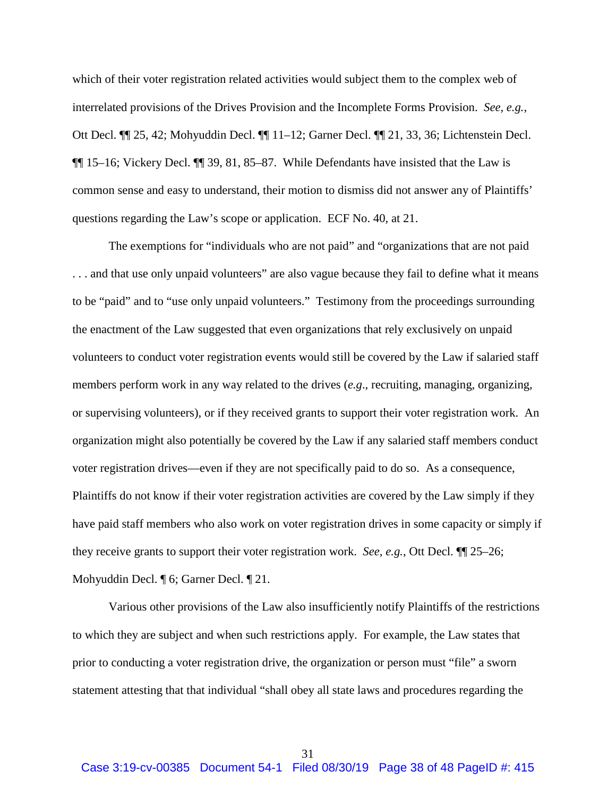which of their voter registration related activities would subject them to the complex web of interrelated provisions of the Drives Provision and the Incomplete Forms Provision. *See, e.g.*, Ott Decl. ¶¶ 25, 42; Mohyuddin Decl. ¶¶ 11–12; Garner Decl. ¶¶ 21, 33, 36; Lichtenstein Decl. ¶¶ 15–16; Vickery Decl. ¶¶ 39, 81, 85–87. While Defendants have insisted that the Law is common sense and easy to understand, their motion to dismiss did not answer any of Plaintiffs' questions regarding the Law's scope or application. ECF No. 40, at 21.

The exemptions for "individuals who are not paid" and "organizations that are not paid ... and that use only unpaid volunteers" are also vague because they fail to define what it means to be "paid" and to "use only unpaid volunteers." Testimony from the proceedings surrounding the enactment of the Law suggested that even organizations that rely exclusively on unpaid volunteers to conduct voter registration events would still be covered by the Law if salaried staff members perform work in any way related to the drives (*e.g*., recruiting, managing, organizing, or supervising volunteers), or if they received grants to support their voter registration work. An organization might also potentially be covered by the Law if any salaried staff members conduct voter registration drives—even if they are not specifically paid to do so. As a consequence, Plaintiffs do not know if their voter registration activities are covered by the Law simply if they have paid staff members who also work on voter registration drives in some capacity or simply if they receive grants to support their voter registration work. *See, e.g.*, Ott Decl. ¶¶ 25–26; Mohyuddin Decl. ¶ 6; Garner Decl. ¶ 21.

Various other provisions of the Law also insufficiently notify Plaintiffs of the restrictions to which they are subject and when such restrictions apply. For example, the Law states that prior to conducting a voter registration drive, the organization or person must "file" a sworn statement attesting that that individual "shall obey all state laws and procedures regarding the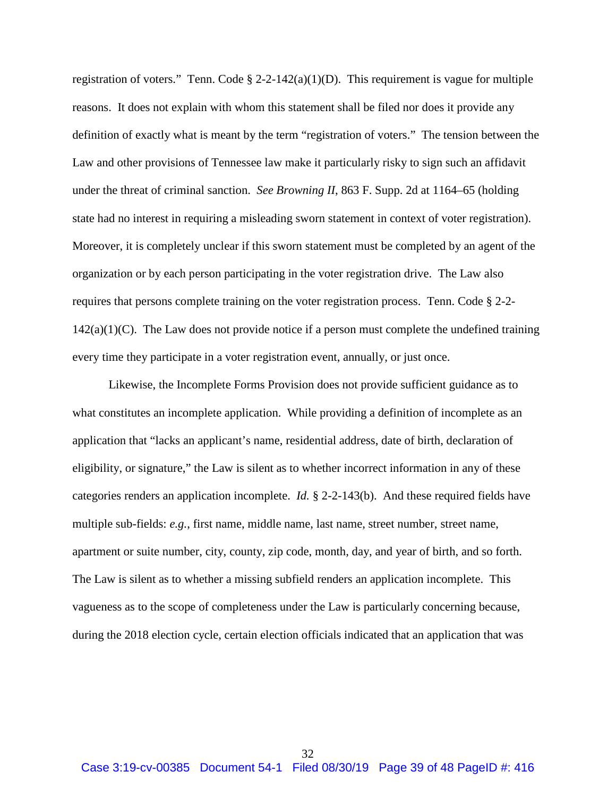registration of voters." Tenn. Code  $\S 2-2-142(a)(1)(D)$ . This requirement is vague for multiple reasons. It does not explain with whom this statement shall be filed nor does it provide any definition of exactly what is meant by the term "registration of voters." The tension between the Law and other provisions of Tennessee law make it particularly risky to sign such an affidavit under the threat of criminal sanction. *See Browning II*, 863 F. Supp. 2d at 1164–65 (holding state had no interest in requiring a misleading sworn statement in context of voter registration). Moreover, it is completely unclear if this sworn statement must be completed by an agent of the organization or by each person participating in the voter registration drive. The Law also requires that persons complete training on the voter registration process. Tenn. Code § 2-2-  $142(a)(1)(C)$ . The Law does not provide notice if a person must complete the undefined training every time they participate in a voter registration event, annually, or just once.

<span id="page-38-0"></span>Likewise, the Incomplete Forms Provision does not provide sufficient guidance as to what constitutes an incomplete application. While providing a definition of incomplete as an application that "lacks an applicant's name, residential address, date of birth, declaration of eligibility, or signature," the Law is silent as to whether incorrect information in any of these categories renders an application incomplete. *Id.* § 2-2-143(b). And these required fields have multiple sub-fields: *e.g.*, first name, middle name, last name, street number, street name, apartment or suite number, city, county, zip code, month, day, and year of birth, and so forth. The Law is silent as to whether a missing subfield renders an application incomplete. This vagueness as to the scope of completeness under the Law is particularly concerning because, during the 2018 election cycle, certain election officials indicated that an application that was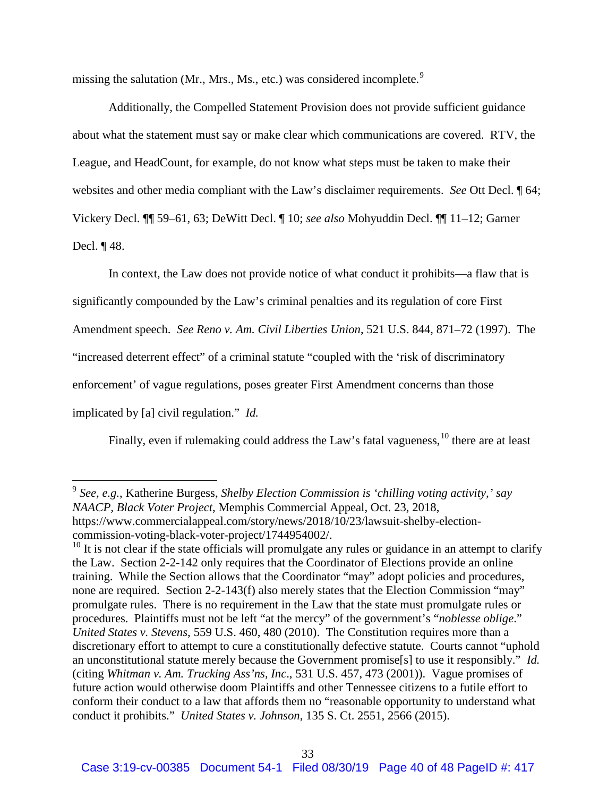missing the salutation (Mr., Mrs., Ms., etc.) was considered incomplete.<sup>[9](#page-43-1)</sup>

Additionally, the Compelled Statement Provision does not provide sufficient guidance about what the statement must say or make clear which communications are covered. RTV, the League, and HeadCount, for example, do not know what steps must be taken to make their websites and other media compliant with the Law's disclaimer requirements. *See* Ott Decl. ¶ 64; Vickery Decl. ¶¶ 59–61, 63; DeWitt Decl. ¶ 10; *see also* Mohyuddin Decl. ¶¶ 11–12; Garner Decl. ¶ 48.

In context, the Law does not provide notice of what conduct it prohibits—a flaw that is significantly compounded by the Law's criminal penalties and its regulation of core First Amendment speech. *See Reno v. Am. Civil Liberties Union*, 521 U.S. 844, 871–72 (1997). The "increased deterrent effect" of a criminal statute "coupled with the 'risk of discriminatory enforcement' of vague regulations, poses greater First Amendment concerns than those implicated by [a] civil regulation." *Id.*

Finally, even if rulemaking could address the Law's fatal vagueness,  $10$  there are at least

 <sup>9</sup> *See, e.g.*, Katherine Burgess, *Shelby Election Commission is 'chilling voting activity,' say NAACP, Black Voter Project*, Memphis Commercial Appeal, Oct. 23, 2018, https://www.commercialappeal.com/story/news/2018/10/23/lawsuit-shelby-election-

commission-voting-black-voter-project/1744954002/.<br><sup>10</sup> It is not clear if the state officials will promulgate any rules or guidance in an attempt to clarify the Law. Section 2-2-142 only requires that the Coordinator of Elections provide an online training. While the Section allows that the Coordinator "may" adopt policies and procedures, none are required. Section 2-2-143(f) also merely states that the Election Commission "may" promulgate rules. There is no requirement in the Law that the state must promulgate rules or procedures. Plaintiffs must not be left "at the mercy" of the government's "*noblesse oblige*." *United States v. Stevens*, 559 U.S. 460, 480 (2010). The Constitution requires more than a discretionary effort to attempt to cure a constitutionally defective statute. Courts cannot "uphold an unconstitutional statute merely because the Government promise[s] to use it responsibly." *Id.* (citing *Whitman v. Am. Trucking Ass'ns, Inc*., 531 U.S. 457, 473 (2001)). Vague promises of future action would otherwise doom Plaintiffs and other Tennessee citizens to a futile effort to conform their conduct to a law that affords them no "reasonable opportunity to understand what conduct it prohibits." *United States v. Johnson*, 135 S. Ct. 2551, 2566 (2015).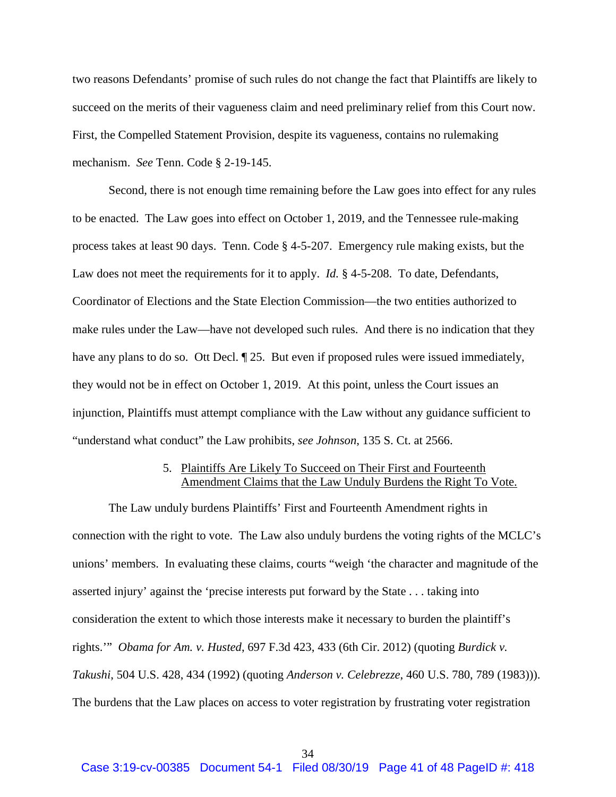two reasons Defendants' promise of such rules do not change the fact that Plaintiffs are likely to succeed on the merits of their vagueness claim and need preliminary relief from this Court now. First, the Compelled Statement Provision, despite its vagueness, contains no rulemaking mechanism. *See* Tenn. Code § 2-19-145.

Second, there is not enough time remaining before the Law goes into effect for any rules to be enacted. The Law goes into effect on October 1, 2019, and the Tennessee rule-making process takes at least 90 days. Tenn. Code § 4-5-207. Emergency rule making exists, but the Law does not meet the requirements for it to apply. *Id.* § 4-5-208. To date, Defendants, Coordinator of Elections and the State Election Commission—the two entities authorized to make rules under the Law—have not developed such rules. And there is no indication that they have any plans to do so. Ott Decl.  $\parallel$  25. But even if proposed rules were issued immediately, they would not be in effect on October 1, 2019. At this point, unless the Court issues an injunction, Plaintiffs must attempt compliance with the Law without any guidance sufficient to "understand what conduct" the Law prohibits, *see Johnson*, 135 S. Ct. at 2566.

### 5. Plaintiffs Are Likely To Succeed on Their First and Fourteenth Amendment Claims that the Law Unduly Burdens the Right To Vote.

<span id="page-40-0"></span>The Law unduly burdens Plaintiffs' First and Fourteenth Amendment rights in connection with the right to vote. The Law also unduly burdens the voting rights of the MCLC's unions' members. In evaluating these claims, courts "weigh 'the character and magnitude of the asserted injury' against the 'precise interests put forward by the State . . . taking into consideration the extent to which those interests make it necessary to burden the plaintiff's rights.'" *Obama for Am. v. Husted*, 697 F.3d 423, 433 (6th Cir. 2012) (quoting *Burdick v. Takushi*, 504 U.S. 428, 434 (1992) (quoting *Anderson v. Celebrezze*, 460 U.S. 780, 789 (1983))). The burdens that the Law places on access to voter registration by frustrating voter registration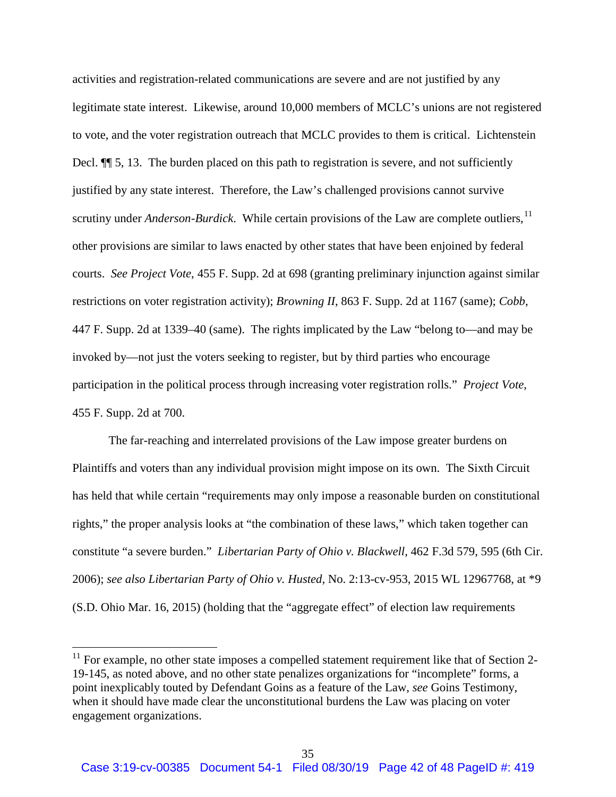activities and registration-related communications are severe and are not justified by any legitimate state interest. Likewise, around 10,000 members of MCLC's unions are not registered to vote, and the voter registration outreach that MCLC provides to them is critical. Lichtenstein Decl. ¶¶ 5, 13. The burden placed on this path to registration is severe, and not sufficiently justified by any state interest. Therefore, the Law's challenged provisions cannot survive scrutiny under *Anderson-Burdick*. While certain provisions of the Law are complete outliers,<sup>[11](#page-46-2)</sup> other provisions are similar to laws enacted by other states that have been enjoined by federal courts. *See Project Vote*, 455 F. Supp. 2d at 698 (granting preliminary injunction against similar restrictions on voter registration activity); *Browning II*, 863 F. Supp. 2d at 1167 (same); *Cobb*, 447 F. Supp. 2d at 1339–40 (same). The rights implicated by the Law "belong to—and may be invoked by—not just the voters seeking to register, but by third parties who encourage participation in the political process through increasing voter registration rolls." *Project Vote*, 455 F. Supp. 2d at 700.

The far-reaching and interrelated provisions of the Law impose greater burdens on Plaintiffs and voters than any individual provision might impose on its own. The Sixth Circuit has held that while certain "requirements may only impose a reasonable burden on constitutional rights," the proper analysis looks at "the combination of these laws," which taken together can constitute "a severe burden." *Libertarian Party of Ohio v. Blackwell*, 462 F.3d 579, 595 (6th Cir. 2006); *see also Libertarian Party of Ohio v. Husted*, No. 2:13-cv-953, 2015 WL 12967768, at \*9 (S.D. Ohio Mar. 16, 2015) (holding that the "aggregate effect" of election law requirements

 $11$  For example, no other state imposes a compelled statement requirement like that of Section 2-19-145, as noted above, and no other state penalizes organizations for "incomplete" forms, a point inexplicably touted by Defendant Goins as a feature of the Law, *see* Goins Testimony, when it should have made clear the unconstitutional burdens the Law was placing on voter engagement organizations.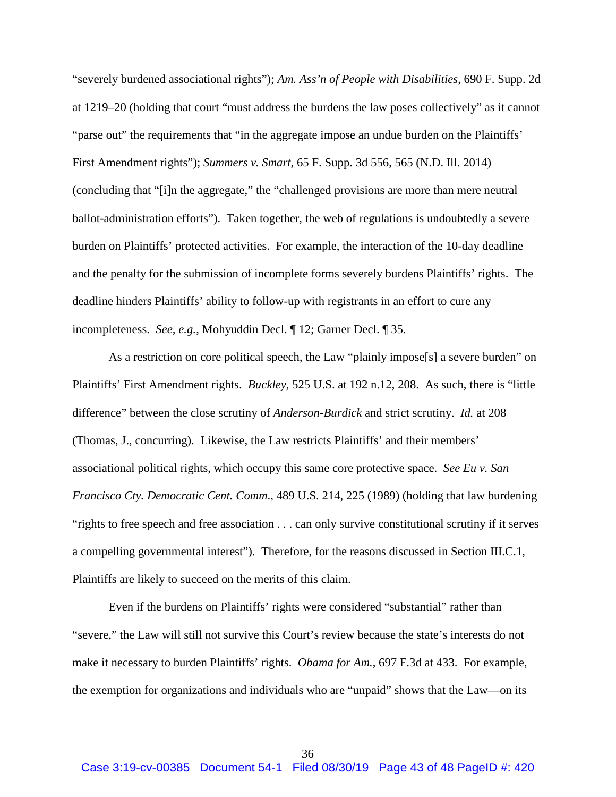"severely burdened associational rights"); *Am. Ass'n of People with Disabilities*, 690 F. Supp. 2d at 1219–20 (holding that court "must address the burdens the law poses collectively" as it cannot "parse out" the requirements that "in the aggregate impose an undue burden on the Plaintiffs' First Amendment rights"); *Summers v. Smart*, 65 F. Supp. 3d 556, 565 (N.D. Ill. 2014) (concluding that "[i]n the aggregate," the "challenged provisions are more than mere neutral ballot-administration efforts"). Taken together, the web of regulations is undoubtedly a severe burden on Plaintiffs' protected activities. For example, the interaction of the 10-day deadline and the penalty for the submission of incomplete forms severely burdens Plaintiffs' rights. The deadline hinders Plaintiffs' ability to follow-up with registrants in an effort to cure any incompleteness. *See, e.g.*, Mohyuddin Decl. ¶ 12; Garner Decl. ¶ 35.

As a restriction on core political speech, the Law "plainly impose[s] a severe burden" on Plaintiffs' First Amendment rights. *Buckley*, 525 U.S. at 192 n.12, 208. As such, there is "little difference" between the close scrutiny of *Anderson-Burdick* and strict scrutiny. *Id.* at 208 (Thomas, J., concurring). Likewise, the Law restricts Plaintiffs' and their members' associational political rights, which occupy this same core protective space. *See Eu v. San Francisco Cty. Democratic Cent. Comm*., 489 U.S. 214, 225 (1989) (holding that law burdening "rights to free speech and free association . . . can only survive constitutional scrutiny if it serves a compelling governmental interest"). Therefore, for the reasons discussed in Section III.C.1, Plaintiffs are likely to succeed on the merits of this claim.

Even if the burdens on Plaintiffs' rights were considered "substantial" rather than "severe," the Law will still not survive this Court's review because the state's interests do not make it necessary to burden Plaintiffs' rights. *Obama for Am.*, 697 F.3d at 433. For example, the exemption for organizations and individuals who are "unpaid" shows that the Law—on its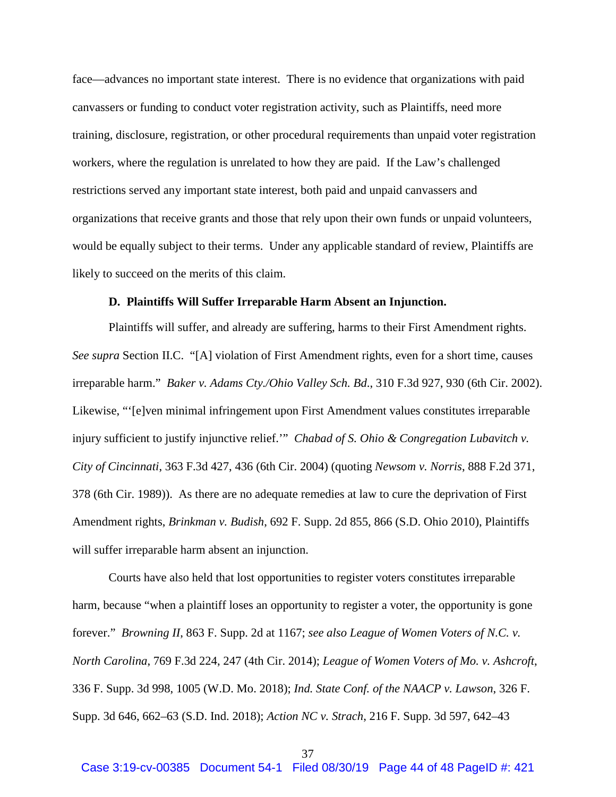face—advances no important state interest. There is no evidence that organizations with paid canvassers or funding to conduct voter registration activity, such as Plaintiffs, need more training, disclosure, registration, or other procedural requirements than unpaid voter registration workers, where the regulation is unrelated to how they are paid. If the Law's challenged restrictions served any important state interest, both paid and unpaid canvassers and organizations that receive grants and those that rely upon their own funds or unpaid volunteers, would be equally subject to their terms. Under any applicable standard of review, Plaintiffs are likely to succeed on the merits of this claim.

#### **D. Plaintiffs Will Suffer Irreparable Harm Absent an Injunction.**

<span id="page-43-0"></span>Plaintiffs will suffer, and already are suffering, harms to their First Amendment rights. *See supra* Section II.C. "[A] violation of First Amendment rights, even for a short time, causes irreparable harm." *Baker v. Adams Cty./Ohio Valley Sch. Bd*., 310 F.3d 927, 930 (6th Cir. 2002). Likewise, "'[e]ven minimal infringement upon First Amendment values constitutes irreparable injury sufficient to justify injunctive relief.'" *Chabad of S. Ohio & Congregation Lubavitch v. City of Cincinnati*, 363 F.3d 427, 436 (6th Cir. 2004) (quoting *Newsom v. Norris*, 888 F.2d 371, 378 (6th Cir. 1989)). As there are no adequate remedies at law to cure the deprivation of First Amendment rights, *Brinkman v. Budish*, 692 F. Supp. 2d 855, 866 (S.D. Ohio 2010), Plaintiffs will suffer irreparable harm absent an injunction.

<span id="page-43-1"></span>Courts have also held that lost opportunities to register voters constitutes irreparable harm, because "when a plaintiff loses an opportunity to register a voter, the opportunity is gone forever." *Browning II*, 863 F. Supp. 2d at 1167; *see also League of Women Voters of N.C. v. North Carolina*, 769 F.3d 224, 247 (4th Cir. 2014); *League of Women Voters of Mo. v. Ashcroft*, 336 F. Supp. 3d 998, 1005 (W.D. Mo. 2018); *Ind. State Conf. of the NAACP v. Lawson*, 326 F. Supp. 3d 646, 662–63 (S.D. Ind. 2018); *Action NC v. Strach*, 216 F. Supp. 3d 597, 642–43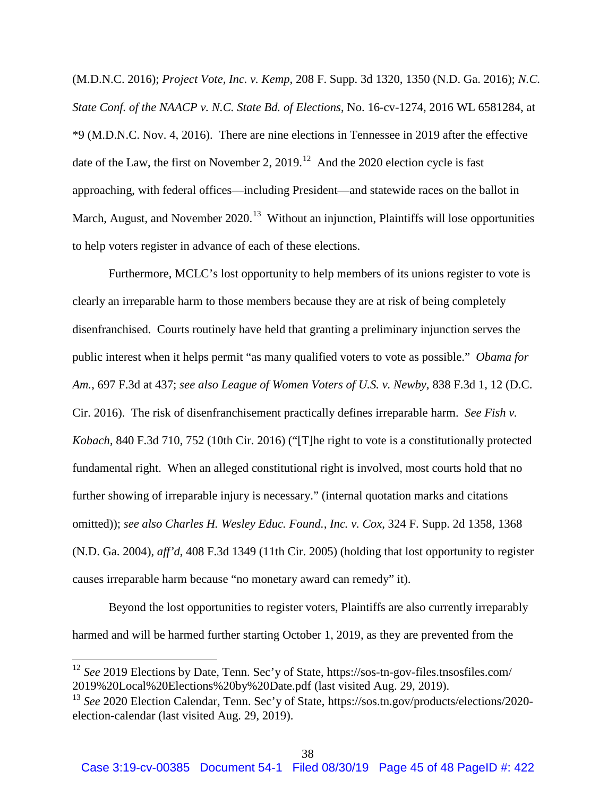(M.D.N.C. 2016); *Project Vote, Inc. v. Kemp*, 208 F. Supp. 3d 1320, 1350 (N.D. Ga. 2016); *N.C. State Conf. of the NAACP v. N.C. State Bd. of Elections*, No. 16-cv-1274, 2016 WL 6581284, at \*9 (M.D.N.C. Nov. 4, 2016). There are nine elections in Tennessee in 2019 after the effective date of the Law, the first on November 2, 2019.<sup>[12](#page-47-0)</sup> And the 2020 election cycle is fast approaching, with federal offices—including President—and statewide races on the ballot in March, August, and November  $2020$ <sup>13</sup> Without an injunction, Plaintiffs will lose opportunities to help voters register in advance of each of these elections.

Furthermore, MCLC's lost opportunity to help members of its unions register to vote is clearly an irreparable harm to those members because they are at risk of being completely disenfranchised. Courts routinely have held that granting a preliminary injunction serves the public interest when it helps permit "as many qualified voters to vote as possible." *Obama for Am.*, 697 F.3d at 437; *see also League of Women Voters of U.S. v. Newby*, 838 F.3d 1, 12 (D.C. Cir. 2016). The risk of disenfranchisement practically defines irreparable harm. *See Fish v. Kobach*, 840 F.3d 710, 752 (10th Cir. 2016) ("[T]he right to vote is a constitutionally protected fundamental right. When an alleged constitutional right is involved, most courts hold that no further showing of irreparable injury is necessary." (internal quotation marks and citations omitted)); *see also Charles H. Wesley Educ. Found., Inc. v. Cox*, 324 F. Supp. 2d 1358, 1368 (N.D. Ga. 2004), *aff'd*, 408 F.3d 1349 (11th Cir. 2005) (holding that lost opportunity to register causes irreparable harm because "no monetary award can remedy" it).

<span id="page-44-0"></span>Beyond the lost opportunities to register voters, Plaintiffs are also currently irreparably harmed and will be harmed further starting October 1, 2019, as they are prevented from the

 <sup>12</sup> *See* 2019 Elections by Date, Tenn. Sec'y of State, https://sos-tn-gov-files.tnsosfiles.com/ 2019%20Local%20Elections%20by%20Date.pdf (last visited Aug. 29, 2019).

<sup>13</sup> *See* 2020 Election Calendar, Tenn. Sec'y of State, https://sos.tn.gov/products/elections/2020 election-calendar (last visited Aug. 29, 2019).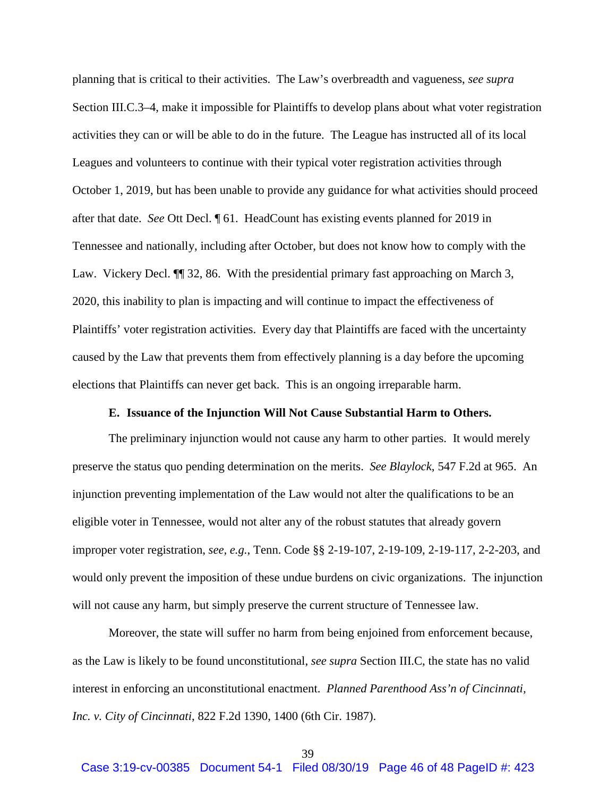planning that is critical to their activities. The Law's overbreadth and vagueness, *see supra* Section III.C.3–4, make it impossible for Plaintiffs to develop plans about what voter registration activities they can or will be able to do in the future. The League has instructed all of its local Leagues and volunteers to continue with their typical voter registration activities through October 1, 2019, but has been unable to provide any guidance for what activities should proceed after that date. *See* Ott Decl. ¶ 61. HeadCount has existing events planned for 2019 in Tennessee and nationally, including after October, but does not know how to comply with the Law. Vickery Decl.  $\P$  32, 86. With the presidential primary fast approaching on March 3, 2020, this inability to plan is impacting and will continue to impact the effectiveness of Plaintiffs' voter registration activities. Every day that Plaintiffs are faced with the uncertainty caused by the Law that prevents them from effectively planning is a day before the upcoming elections that Plaintiffs can never get back. This is an ongoing irreparable harm.

#### **E. Issuance of the Injunction Will Not Cause Substantial Harm to Others.**

<span id="page-45-0"></span>The preliminary injunction would not cause any harm to other parties. It would merely preserve the status quo pending determination on the merits. *See Blaylock*, 547 F.2d at 965. An injunction preventing implementation of the Law would not alter the qualifications to be an eligible voter in Tennessee, would not alter any of the robust statutes that already govern improper voter registration, *see, e.g.*, Tenn. Code §§ 2-19-107, 2-19-109, 2-19-117, 2-2-203, and would only prevent the imposition of these undue burdens on civic organizations. The injunction will not cause any harm, but simply preserve the current structure of Tennessee law.

Moreover, the state will suffer no harm from being enjoined from enforcement because, as the Law is likely to be found unconstitutional, *see supra* Section III.C, the state has no valid interest in enforcing an unconstitutional enactment. *Planned Parenthood Ass'n of Cincinnati, Inc. v. City of Cincinnati*, 822 F.2d 1390, 1400 (6th Cir. 1987).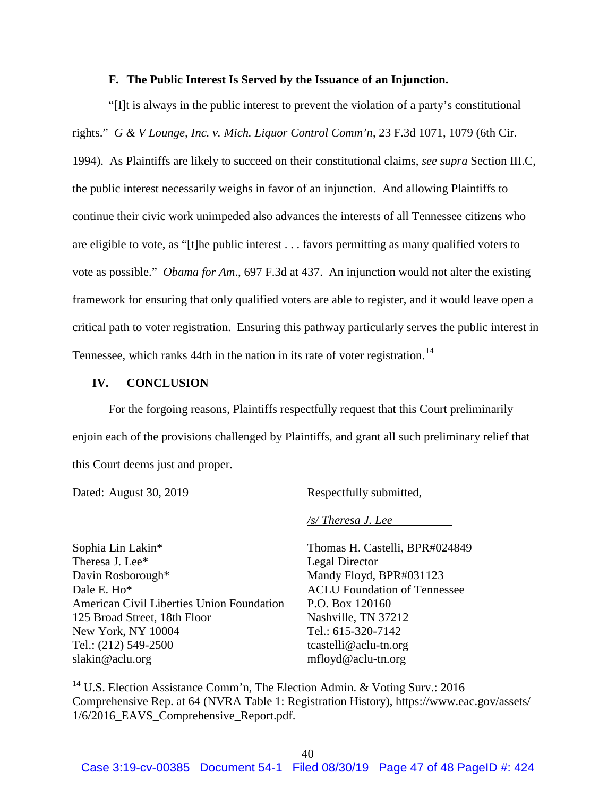#### **F. The Public Interest Is Served by the Issuance of an Injunction.**

<span id="page-46-0"></span>"[I]t is always in the public interest to prevent the violation of a party's constitutional rights." *G & V Lounge, Inc. v. Mich. Liquor Control Comm'n*, 23 F.3d 1071, 1079 (6th Cir. 1994). As Plaintiffs are likely to succeed on their constitutional claims, *see supra* Section III.C, the public interest necessarily weighs in favor of an injunction. And allowing Plaintiffs to continue their civic work unimpeded also advances the interests of all Tennessee citizens who are eligible to vote, as "[t]he public interest . . . favors permitting as many qualified voters to vote as possible." *Obama for Am*., 697 F.3d at 437. An injunction would not alter the existing framework for ensuring that only qualified voters are able to register, and it would leave open a critical path to voter registration. Ensuring this pathway particularly serves the public interest in Tennessee, which ranks 44th in the nation in its rate of voter registration.<sup>[14](#page-47-2)</sup>

#### <span id="page-46-1"></span>**IV. CONCLUSION**

For the forgoing reasons, Plaintiffs respectfully request that this Court preliminarily enjoin each of the provisions challenged by Plaintiffs, and grant all such preliminary relief that this Court deems just and proper.

Dated: August 30, 2019 Respectfully submitted,

*/s/ Theresa J. Lee*

Sophia Lin Lakin\* Theresa J. Lee\* Davin Rosborough\* Dale E. Ho\* American Civil Liberties Union Foundation 125 Broad Street, 18th Floor New York, NY 10004 Tel.: (212) 549-2500 slakin@aclu.org

Thomas H. Castelli, BPR#024849 Legal Director Mandy Floyd, BPR#031123 ACLU Foundation of Tennessee P.O. Box 120160 Nashville, TN 37212 Tel.: 615-320-7142 tcastelli@aclu-tn.org mfloyd@aclu-tn.org

<span id="page-46-2"></span><sup>&</sup>lt;sup>14</sup> U.S. Election Assistance Comm'n, The Election Admin. & Voting Surv.: 2016 Comprehensive Rep. at 64 (NVRA Table 1: Registration History), https://www.eac.gov/assets/ 1/6/2016\_EAVS\_Comprehensive\_Report.pdf.